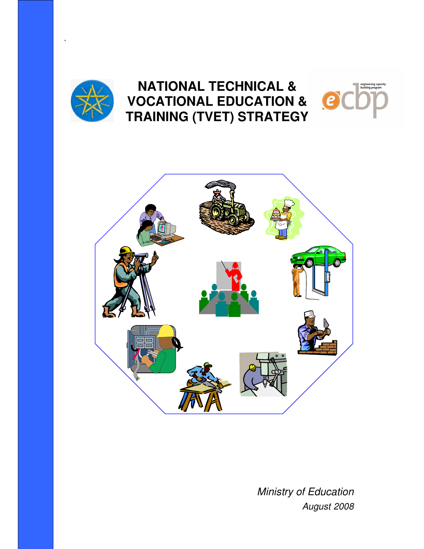

`

# **NATIONAL TECHNICAL & VOCATIONAL EDUCATION & TRAINING (TVET) STRATEGY**





Ministry of Education August 2008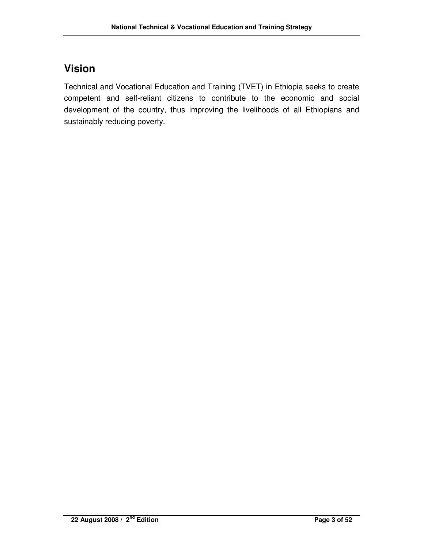## **Vision**

Technical and Vocational Education and Training (TVET) in Ethiopia seeks to create competent and self-reliant citizens to contribute to the economic and social development of the country, thus improving the livelihoods of all Ethiopians and sustainably reducing poverty.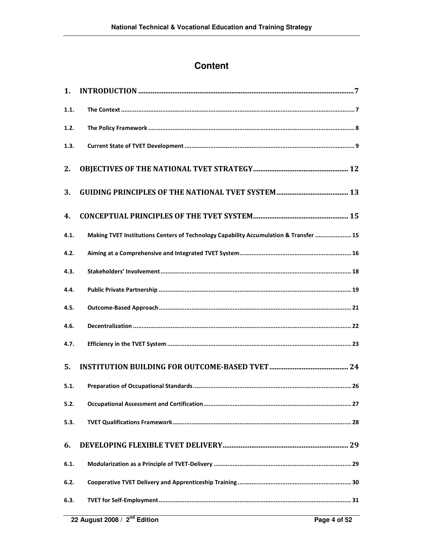### **Content**

| 1.   |                                                                                       |
|------|---------------------------------------------------------------------------------------|
| 1.1. |                                                                                       |
| 1.2. |                                                                                       |
| 1.3. |                                                                                       |
| 2.   |                                                                                       |
| 3.   |                                                                                       |
| 4.   |                                                                                       |
| 4.1. | Making TVET Institutions Centers of Technology Capability Accumulation & Transfer  15 |
| 4.2. |                                                                                       |
| 4.3. |                                                                                       |
| 4.4. |                                                                                       |
| 4.5. |                                                                                       |
| 4.6. |                                                                                       |
| 4.7. |                                                                                       |
| 5.   |                                                                                       |
| 5.1. |                                                                                       |
| 5.2. |                                                                                       |
| 5.3. |                                                                                       |
| 6.   |                                                                                       |
| 6.1. |                                                                                       |
| 6.2. |                                                                                       |
| 6.3. |                                                                                       |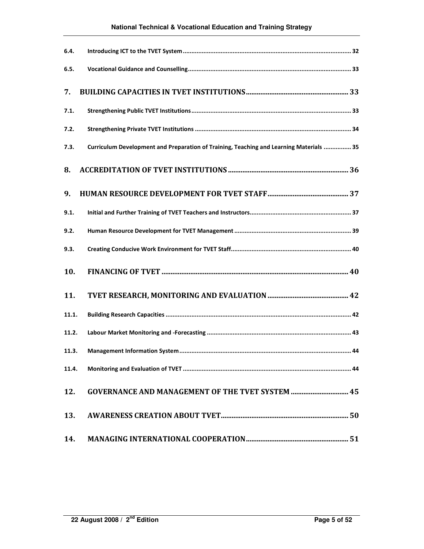| 6.4.       |                                                                                         |  |
|------------|-----------------------------------------------------------------------------------------|--|
| 6.5.       |                                                                                         |  |
| 7.         |                                                                                         |  |
| 7.1.       |                                                                                         |  |
| 7.2.       |                                                                                         |  |
| 7.3.       | Curriculum Development and Preparation of Training, Teaching and Learning Materials  35 |  |
| 8.         |                                                                                         |  |
| 9.         |                                                                                         |  |
| 9.1.       |                                                                                         |  |
| 9.2.       |                                                                                         |  |
| 9.3.       |                                                                                         |  |
| 10.        |                                                                                         |  |
| 11.        |                                                                                         |  |
| 11.1.      |                                                                                         |  |
| 11.2.      |                                                                                         |  |
| 11.3.      |                                                                                         |  |
| 11.4.      |                                                                                         |  |
| 12.        | <b>GOVERNANCE AND MANAGEMENT OF THE TVET SYSTEM  45</b>                                 |  |
| <b>13.</b> |                                                                                         |  |
| 14.        |                                                                                         |  |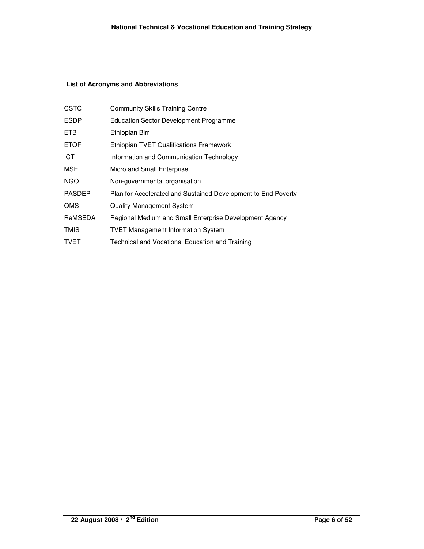#### **List of Acronyms and Abbreviations**

| <b>CSTC</b>   | <b>Community Skills Training Centre</b>                       |
|---------------|---------------------------------------------------------------|
| <b>ESDP</b>   | <b>Education Sector Development Programme</b>                 |
| <b>ETB</b>    | Ethiopian Birr                                                |
| <b>ETQF</b>   | <b>Ethiopian TVET Qualifications Framework</b>                |
| <b>ICT</b>    | Information and Communication Technology                      |
| <b>MSE</b>    | Micro and Small Enterprise                                    |
| <b>NGO</b>    | Non-governmental organisation                                 |
| <b>PASDEP</b> | Plan for Accelerated and Sustained Development to End Poverty |
| <b>QMS</b>    | <b>Quality Management System</b>                              |
| ReMSEDA       | Regional Medium and Small Enterprise Development Agency       |
| <b>TMIS</b>   | <b>TVET Management Information System</b>                     |
| <b>TVET</b>   | Technical and Vocational Education and Training               |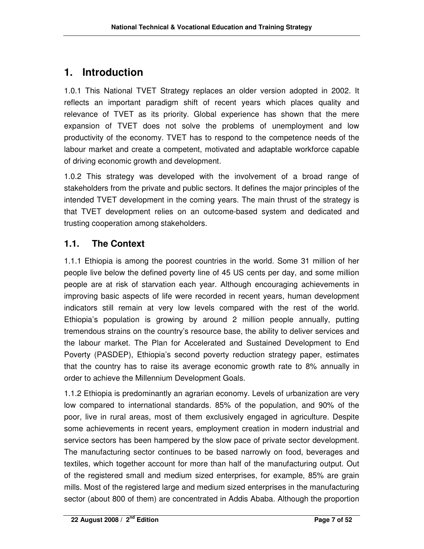## **1. Introduction**

1.0.1 This National TVET Strategy replaces an older version adopted in 2002. It reflects an important paradigm shift of recent years which places quality and relevance of TVET as its priority. Global experience has shown that the mere expansion of TVET does not solve the problems of unemployment and low productivity of the economy. TVET has to respond to the competence needs of the labour market and create a competent, motivated and adaptable workforce capable of driving economic growth and development.

1.0.2 This strategy was developed with the involvement of a broad range of stakeholders from the private and public sectors. It defines the major principles of the intended TVET development in the coming years. The main thrust of the strategy is that TVET development relies on an outcome-based system and dedicated and trusting cooperation among stakeholders.

### **1.1. The Context**

1.1.1 Ethiopia is among the poorest countries in the world. Some 31 million of her people live below the defined poverty line of 45 US cents per day, and some million people are at risk of starvation each year. Although encouraging achievements in improving basic aspects of life were recorded in recent years, human development indicators still remain at very low levels compared with the rest of the world. Ethiopia's population is growing by around 2 million people annually, putting tremendous strains on the country's resource base, the ability to deliver services and the labour market. The Plan for Accelerated and Sustained Development to End Poverty (PASDEP), Ethiopia's second poverty reduction strategy paper, estimates that the country has to raise its average economic growth rate to 8% annually in order to achieve the Millennium Development Goals.

1.1.2 Ethiopia is predominantly an agrarian economy. Levels of urbanization are very low compared to international standards. 85% of the population, and 90% of the poor, live in rural areas, most of them exclusively engaged in agriculture. Despite some achievements in recent years, employment creation in modern industrial and service sectors has been hampered by the slow pace of private sector development. The manufacturing sector continues to be based narrowly on food, beverages and textiles, which together account for more than half of the manufacturing output. Out of the registered small and medium sized enterprises, for example, 85% are grain mills. Most of the registered large and medium sized enterprises in the manufacturing sector (about 800 of them) are concentrated in Addis Ababa. Although the proportion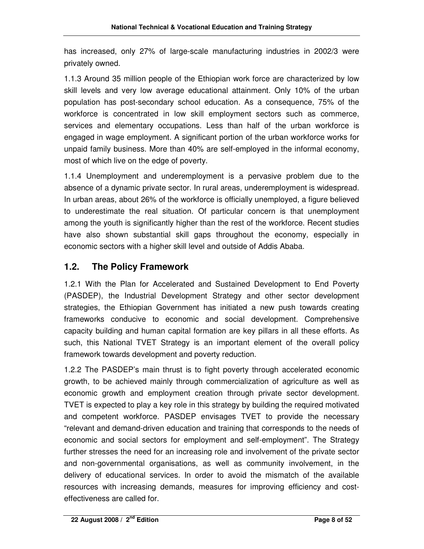has increased, only 27% of large-scale manufacturing industries in 2002/3 were privately owned.

1.1.3 Around 35 million people of the Ethiopian work force are characterized by low skill levels and very low average educational attainment. Only 10% of the urban population has post-secondary school education. As a consequence, 75% of the workforce is concentrated in low skill employment sectors such as commerce, services and elementary occupations. Less than half of the urban workforce is engaged in wage employment. A significant portion of the urban workforce works for unpaid family business. More than 40% are self-employed in the informal economy, most of which live on the edge of poverty.

1.1.4 Unemployment and underemployment is a pervasive problem due to the absence of a dynamic private sector. In rural areas, underemployment is widespread. In urban areas, about 26% of the workforce is officially unemployed, a figure believed to underestimate the real situation. Of particular concern is that unemployment among the youth is significantly higher than the rest of the workforce. Recent studies have also shown substantial skill gaps throughout the economy, especially in economic sectors with a higher skill level and outside of Addis Ababa.

#### **1.2. The Policy Framework**

1.2.1 With the Plan for Accelerated and Sustained Development to End Poverty (PASDEP), the Industrial Development Strategy and other sector development strategies, the Ethiopian Government has initiated a new push towards creating frameworks conducive to economic and social development. Comprehensive capacity building and human capital formation are key pillars in all these efforts. As such, this National TVET Strategy is an important element of the overall policy framework towards development and poverty reduction.

1.2.2 The PASDEP's main thrust is to fight poverty through accelerated economic growth, to be achieved mainly through commercialization of agriculture as well as economic growth and employment creation through private sector development. TVET is expected to play a key role in this strategy by building the required motivated and competent workforce. PASDEP envisages TVET to provide the necessary "relevant and demand-driven education and training that corresponds to the needs of economic and social sectors for employment and self-employment". The Strategy further stresses the need for an increasing role and involvement of the private sector and non-governmental organisations, as well as community involvement, in the delivery of educational services. In order to avoid the mismatch of the available resources with increasing demands, measures for improving efficiency and costeffectiveness are called for.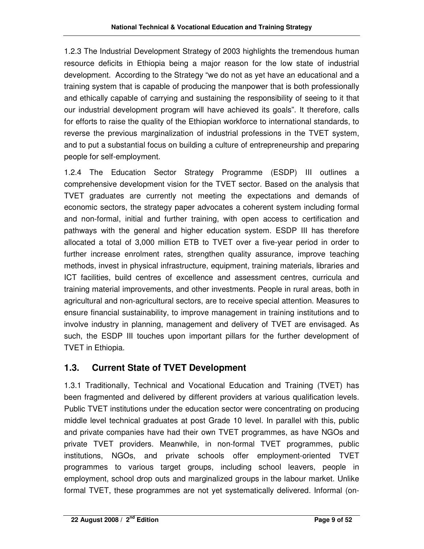1.2.3 The Industrial Development Strategy of 2003 highlights the tremendous human resource deficits in Ethiopia being a major reason for the low state of industrial development. According to the Strategy "we do not as yet have an educational and a training system that is capable of producing the manpower that is both professionally and ethically capable of carrying and sustaining the responsibility of seeing to it that our industrial development program will have achieved its goals". It therefore, calls for efforts to raise the quality of the Ethiopian workforce to international standards, to reverse the previous marginalization of industrial professions in the TVET system, and to put a substantial focus on building a culture of entrepreneurship and preparing people for self-employment.

1.2.4 The Education Sector Strategy Programme (ESDP) III outlines a comprehensive development vision for the TVET sector. Based on the analysis that TVET graduates are currently not meeting the expectations and demands of economic sectors, the strategy paper advocates a coherent system including formal and non-formal, initial and further training, with open access to certification and pathways with the general and higher education system. ESDP III has therefore allocated a total of 3,000 million ETB to TVET over a five-year period in order to further increase enrolment rates, strengthen quality assurance, improve teaching methods, invest in physical infrastructure, equipment, training materials, libraries and ICT facilities, build centres of excellence and assessment centres, curricula and training material improvements, and other investments. People in rural areas, both in agricultural and non-agricultural sectors, are to receive special attention. Measures to ensure financial sustainability, to improve management in training institutions and to involve industry in planning, management and delivery of TVET are envisaged. As such, the ESDP III touches upon important pillars for the further development of TVET in Ethiopia.

### **1.3. Current State of TVET Development**

1.3.1 Traditionally, Technical and Vocational Education and Training (TVET) has been fragmented and delivered by different providers at various qualification levels. Public TVET institutions under the education sector were concentrating on producing middle level technical graduates at post Grade 10 level. In parallel with this, public and private companies have had their own TVET programmes, as have NGOs and private TVET providers. Meanwhile, in non-formal TVET programmes, public institutions, NGOs, and private schools offer employment-oriented TVET programmes to various target groups, including school leavers, people in employment, school drop outs and marginalized groups in the labour market. Unlike formal TVET, these programmes are not yet systematically delivered. Informal (on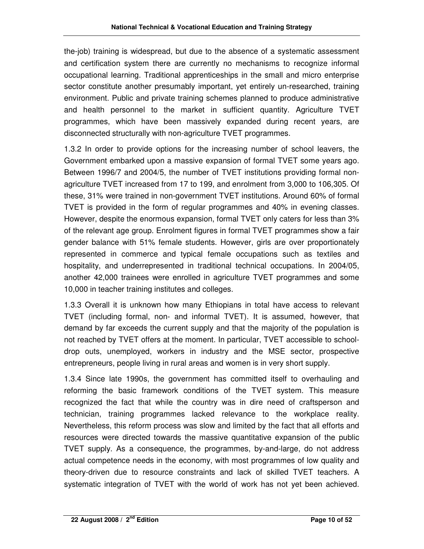the-job) training is widespread, but due to the absence of a systematic assessment and certification system there are currently no mechanisms to recognize informal occupational learning. Traditional apprenticeships in the small and micro enterprise sector constitute another presumably important, yet entirely un-researched, training environment. Public and private training schemes planned to produce administrative and health personnel to the market in sufficient quantity. Agriculture TVET programmes, which have been massively expanded during recent years, are disconnected structurally with non-agriculture TVET programmes.

1.3.2 In order to provide options for the increasing number of school leavers, the Government embarked upon a massive expansion of formal TVET some years ago. Between 1996/7 and 2004/5, the number of TVET institutions providing formal nonagriculture TVET increased from 17 to 199, and enrolment from 3,000 to 106,305. Of these, 31% were trained in non-government TVET institutions. Around 60% of formal TVET is provided in the form of regular programmes and 40% in evening classes. However, despite the enormous expansion, formal TVET only caters for less than 3% of the relevant age group. Enrolment figures in formal TVET programmes show a fair gender balance with 51% female students. However, girls are over proportionately represented in commerce and typical female occupations such as textiles and hospitality, and underrepresented in traditional technical occupations. In 2004/05, another 42,000 trainees were enrolled in agriculture TVET programmes and some 10,000 in teacher training institutes and colleges.

1.3.3 Overall it is unknown how many Ethiopians in total have access to relevant TVET (including formal, non- and informal TVET). It is assumed, however, that demand by far exceeds the current supply and that the majority of the population is not reached by TVET offers at the moment. In particular, TVET accessible to schooldrop outs, unemployed, workers in industry and the MSE sector, prospective entrepreneurs, people living in rural areas and women is in very short supply.

1.3.4 Since late 1990s, the government has committed itself to overhauling and reforming the basic framework conditions of the TVET system. This measure recognized the fact that while the country was in dire need of craftsperson and technician, training programmes lacked relevance to the workplace reality. Nevertheless, this reform process was slow and limited by the fact that all efforts and resources were directed towards the massive quantitative expansion of the public TVET supply. As a consequence, the programmes, by-and-large, do not address actual competence needs in the economy, with most programmes of low quality and theory-driven due to resource constraints and lack of skilled TVET teachers. A systematic integration of TVET with the world of work has not yet been achieved.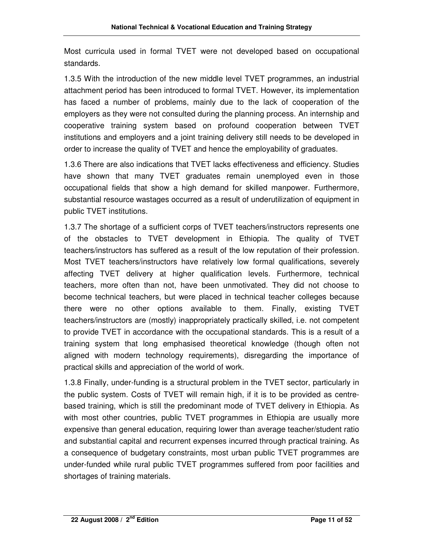Most curricula used in formal TVET were not developed based on occupational standards.

1.3.5 With the introduction of the new middle level TVET programmes, an industrial attachment period has been introduced to formal TVET. However, its implementation has faced a number of problems, mainly due to the lack of cooperation of the employers as they were not consulted during the planning process. An internship and cooperative training system based on profound cooperation between TVET institutions and employers and a joint training delivery still needs to be developed in order to increase the quality of TVET and hence the employability of graduates.

1.3.6 There are also indications that TVET lacks effectiveness and efficiency. Studies have shown that many TVET graduates remain unemployed even in those occupational fields that show a high demand for skilled manpower. Furthermore, substantial resource wastages occurred as a result of underutilization of equipment in public TVET institutions.

1.3.7 The shortage of a sufficient corps of TVET teachers/instructors represents one of the obstacles to TVET development in Ethiopia. The quality of TVET teachers/instructors has suffered as a result of the low reputation of their profession. Most TVET teachers/instructors have relatively low formal qualifications, severely affecting TVET delivery at higher qualification levels. Furthermore, technical teachers, more often than not, have been unmotivated. They did not choose to become technical teachers, but were placed in technical teacher colleges because there were no other options available to them. Finally, existing TVET teachers/instructors are (mostly) inappropriately practically skilled, i.e. not competent to provide TVET in accordance with the occupational standards. This is a result of a training system that long emphasised theoretical knowledge (though often not aligned with modern technology requirements), disregarding the importance of practical skills and appreciation of the world of work.

1.3.8 Finally, under-funding is a structural problem in the TVET sector, particularly in the public system. Costs of TVET will remain high, if it is to be provided as centrebased training, which is still the predominant mode of TVET delivery in Ethiopia. As with most other countries, public TVET programmes in Ethiopia are usually more expensive than general education, requiring lower than average teacher/student ratio and substantial capital and recurrent expenses incurred through practical training. As a consequence of budgetary constraints, most urban public TVET programmes are under-funded while rural public TVET programmes suffered from poor facilities and shortages of training materials.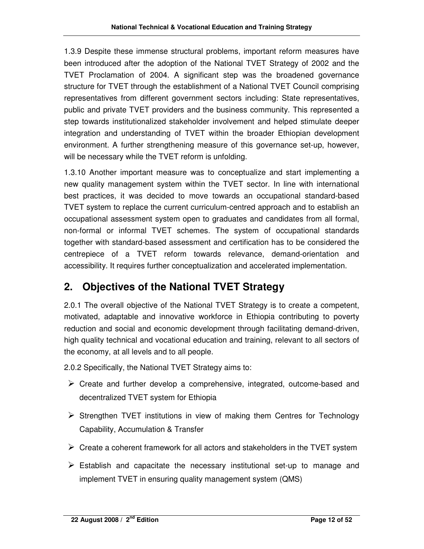1.3.9 Despite these immense structural problems, important reform measures have been introduced after the adoption of the National TVET Strategy of 2002 and the TVET Proclamation of 2004. A significant step was the broadened governance structure for TVET through the establishment of a National TVET Council comprising representatives from different government sectors including: State representatives, public and private TVET providers and the business community. This represented a step towards institutionalized stakeholder involvement and helped stimulate deeper integration and understanding of TVET within the broader Ethiopian development environment. A further strengthening measure of this governance set-up, however, will be necessary while the TVET reform is unfolding.

1.3.10 Another important measure was to conceptualize and start implementing a new quality management system within the TVET sector. In line with international best practices, it was decided to move towards an occupational standard-based TVET system to replace the current curriculum-centred approach and to establish an occupational assessment system open to graduates and candidates from all formal, non-formal or informal TVET schemes. The system of occupational standards together with standard-based assessment and certification has to be considered the centrepiece of a TVET reform towards relevance, demand-orientation and accessibility. It requires further conceptualization and accelerated implementation.

## **2. Objectives of the National TVET Strategy**

2.0.1 The overall objective of the National TVET Strategy is to create a competent, motivated, adaptable and innovative workforce in Ethiopia contributing to poverty reduction and social and economic development through facilitating demand-driven, high quality technical and vocational education and training, relevant to all sectors of the economy, at all levels and to all people.

2.0.2 Specifically, the National TVET Strategy aims to:

- $\triangleright$  Create and further develop a comprehensive, integrated, outcome-based and decentralized TVET system for Ethiopia
- $\triangleright$  Strengthen TVET institutions in view of making them Centres for Technology Capability, Accumulation & Transfer
- $\triangleright$  Create a coherent framework for all actors and stakeholders in the TVET system
- $\triangleright$  Establish and capacitate the necessary institutional set-up to manage and implement TVET in ensuring quality management system (QMS)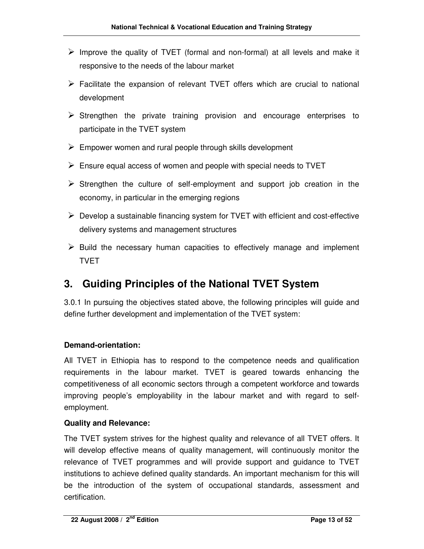- $\triangleright$  Improve the quality of TVET (formal and non-formal) at all levels and make it responsive to the needs of the labour market
- $\triangleright$  Facilitate the expansion of relevant TVET offers which are crucial to national development
- $\triangleright$  Strengthen the private training provision and encourage enterprises to participate in the TVET system
- $\triangleright$  Empower women and rural people through skills development
- $\triangleright$  Ensure equal access of women and people with special needs to TVET
- $\triangleright$  Strengthen the culture of self-employment and support job creation in the economy, in particular in the emerging regions
- $\triangleright$  Develop a sustainable financing system for TVET with efficient and cost-effective delivery systems and management structures
- $\triangleright$  Build the necessary human capacities to effectively manage and implement TVET

## **3. Guiding Principles of the National TVET System**

3.0.1 In pursuing the objectives stated above, the following principles will guide and define further development and implementation of the TVET system:

#### **Demand-orientation:**

All TVET in Ethiopia has to respond to the competence needs and qualification requirements in the labour market. TVET is geared towards enhancing the competitiveness of all economic sectors through a competent workforce and towards improving people's employability in the labour market and with regard to selfemployment.

#### **Quality and Relevance:**

The TVET system strives for the highest quality and relevance of all TVET offers. It will develop effective means of quality management, will continuously monitor the relevance of TVET programmes and will provide support and guidance to TVET institutions to achieve defined quality standards. An important mechanism for this will be the introduction of the system of occupational standards, assessment and certification.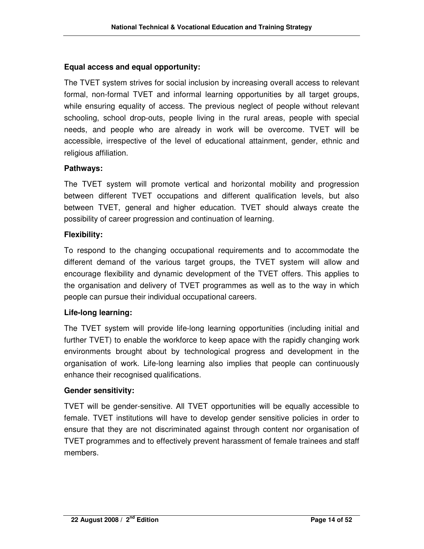#### **Equal access and equal opportunity:**

The TVET system strives for social inclusion by increasing overall access to relevant formal, non-formal TVET and informal learning opportunities by all target groups, while ensuring equality of access. The previous neglect of people without relevant schooling, school drop-outs, people living in the rural areas, people with special needs, and people who are already in work will be overcome. TVET will be accessible, irrespective of the level of educational attainment, gender, ethnic and religious affiliation.

#### **Pathways:**

The TVET system will promote vertical and horizontal mobility and progression between different TVET occupations and different qualification levels, but also between TVET, general and higher education. TVET should always create the possibility of career progression and continuation of learning.

#### **Flexibility:**

To respond to the changing occupational requirements and to accommodate the different demand of the various target groups, the TVET system will allow and encourage flexibility and dynamic development of the TVET offers. This applies to the organisation and delivery of TVET programmes as well as to the way in which people can pursue their individual occupational careers.

#### **Life-long learning:**

The TVET system will provide life-long learning opportunities (including initial and further TVET) to enable the workforce to keep apace with the rapidly changing work environments brought about by technological progress and development in the organisation of work. Life-long learning also implies that people can continuously enhance their recognised qualifications.

#### **Gender sensitivity:**

TVET will be gender-sensitive. All TVET opportunities will be equally accessible to female. TVET institutions will have to develop gender sensitive policies in order to ensure that they are not discriminated against through content nor organisation of TVET programmes and to effectively prevent harassment of female trainees and staff members.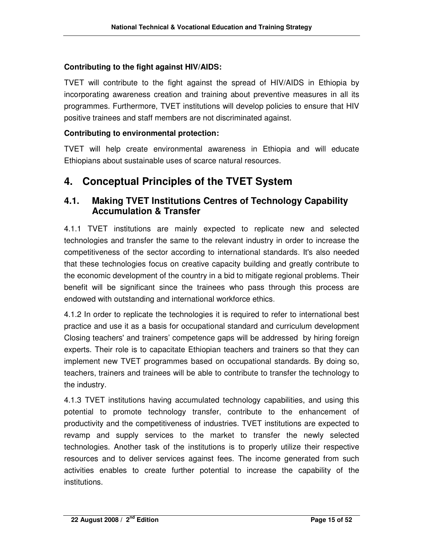#### **Contributing to the fight against HIV/AIDS:**

TVET will contribute to the fight against the spread of HIV/AIDS in Ethiopia by incorporating awareness creation and training about preventive measures in all its programmes. Furthermore, TVET institutions will develop policies to ensure that HIV positive trainees and staff members are not discriminated against.

#### **Contributing to environmental protection:**

TVET will help create environmental awareness in Ethiopia and will educate Ethiopians about sustainable uses of scarce natural resources.

### **4. Conceptual Principles of the TVET System**

#### **4.1. Making TVET Institutions Centres of Technology Capability Accumulation & Transfer**

4.1.1 TVET institutions are mainly expected to replicate new and selected technologies and transfer the same to the relevant industry in order to increase the competitiveness of the sector according to international standards. It's also needed that these technologies focus on creative capacity building and greatly contribute to the economic development of the country in a bid to mitigate regional problems. Their benefit will be significant since the trainees who pass through this process are endowed with outstanding and international workforce ethics.

4.1.2 In order to replicate the technologies it is required to refer to international best practice and use it as a basis for occupational standard and curriculum development Closing teachers' and trainers' competence gaps will be addressed by hiring foreign experts. Their role is to capacitate Ethiopian teachers and trainers so that they can implement new TVET programmes based on occupational standards. By doing so, teachers, trainers and trainees will be able to contribute to transfer the technology to the industry.

4.1.3 TVET institutions having accumulated technology capabilities, and using this potential to promote technology transfer, contribute to the enhancement of productivity and the competitiveness of industries. TVET institutions are expected to revamp and supply services to the market to transfer the newly selected technologies. Another task of the institutions is to properly utilize their respective resources and to deliver services against fees. The income generated from such activities enables to create further potential to increase the capability of the institutions.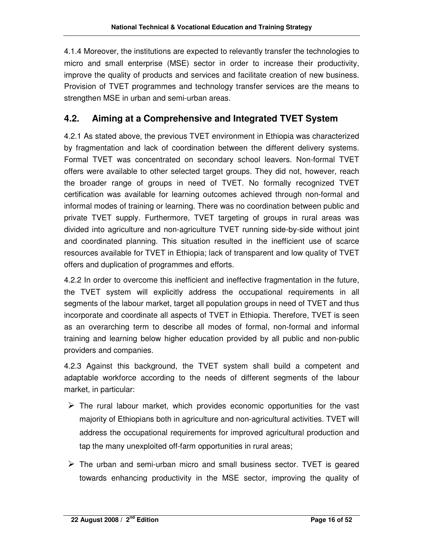4.1.4 Moreover, the institutions are expected to relevantly transfer the technologies to micro and small enterprise (MSE) sector in order to increase their productivity, improve the quality of products and services and facilitate creation of new business. Provision of TVET programmes and technology transfer services are the means to strengthen MSE in urban and semi-urban areas.

#### **4.2. Aiming at a Comprehensive and Integrated TVET System**

4.2.1 As stated above, the previous TVET environment in Ethiopia was characterized by fragmentation and lack of coordination between the different delivery systems. Formal TVET was concentrated on secondary school leavers. Non-formal TVET offers were available to other selected target groups. They did not, however, reach the broader range of groups in need of TVET. No formally recognized TVET certification was available for learning outcomes achieved through non-formal and informal modes of training or learning. There was no coordination between public and private TVET supply. Furthermore, TVET targeting of groups in rural areas was divided into agriculture and non-agriculture TVET running side-by-side without joint and coordinated planning. This situation resulted in the inefficient use of scarce resources available for TVET in Ethiopia; lack of transparent and low quality of TVET offers and duplication of programmes and efforts.

4.2.2 In order to overcome this inefficient and ineffective fragmentation in the future, the TVET system will explicitly address the occupational requirements in all segments of the labour market, target all population groups in need of TVET and thus incorporate and coordinate all aspects of TVET in Ethiopia. Therefore, TVET is seen as an overarching term to describe all modes of formal, non-formal and informal training and learning below higher education provided by all public and non-public providers and companies.

4.2.3 Against this background, the TVET system shall build a competent and adaptable workforce according to the needs of different segments of the labour market, in particular:

- $\triangleright$  The rural labour market, which provides economic opportunities for the vast majority of Ethiopians both in agriculture and non-agricultural activities. TVET will address the occupational requirements for improved agricultural production and tap the many unexploited off-farm opportunities in rural areas;
- $\triangleright$  The urban and semi-urban micro and small business sector. TVET is geared towards enhancing productivity in the MSE sector, improving the quality of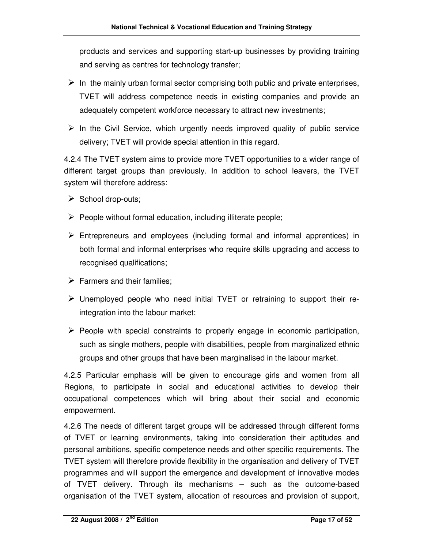products and services and supporting start-up businesses by providing training and serving as centres for technology transfer;

- $\triangleright$  In the mainly urban formal sector comprising both public and private enterprises, TVET will address competence needs in existing companies and provide an adequately competent workforce necessary to attract new investments;
- $\triangleright$  In the Civil Service, which urgently needs improved quality of public service delivery; TVET will provide special attention in this regard.

4.2.4 The TVET system aims to provide more TVET opportunities to a wider range of different target groups than previously. In addition to school leavers, the TVET system will therefore address:

- $\triangleright$  School drop-outs;
- $\triangleright$  People without formal education, including illiterate people;
- $\triangleright$  Entrepreneurs and employees (including formal and informal apprentices) in both formal and informal enterprises who require skills upgrading and access to recognised qualifications;
- $\triangleright$  Farmers and their families;
- Unemployed people who need initial TVET or retraining to support their reintegration into the labour market;
- $\triangleright$  People with special constraints to properly engage in economic participation, such as single mothers, people with disabilities, people from marginalized ethnic groups and other groups that have been marginalised in the labour market.

4.2.5 Particular emphasis will be given to encourage girls and women from all Regions, to participate in social and educational activities to develop their occupational competences which will bring about their social and economic empowerment.

4.2.6 The needs of different target groups will be addressed through different forms of TVET or learning environments, taking into consideration their aptitudes and personal ambitions, specific competence needs and other specific requirements. The TVET system will therefore provide flexibility in the organisation and delivery of TVET programmes and will support the emergence and development of innovative modes of TVET delivery. Through its mechanisms – such as the outcome-based organisation of the TVET system, allocation of resources and provision of support,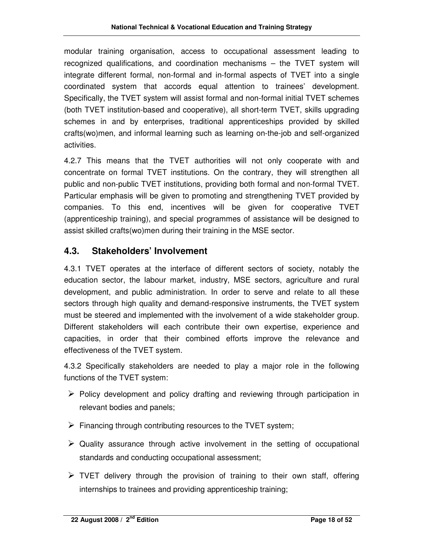modular training organisation, access to occupational assessment leading to recognized qualifications, and coordination mechanisms – the TVET system will integrate different formal, non-formal and in-formal aspects of TVET into a single coordinated system that accords equal attention to trainees' development. Specifically, the TVET system will assist formal and non-formal initial TVET schemes (both TVET institution-based and cooperative), all short-term TVET, skills upgrading schemes in and by enterprises, traditional apprenticeships provided by skilled crafts(wo)men, and informal learning such as learning on-the-job and self-organized activities.

4.2.7 This means that the TVET authorities will not only cooperate with and concentrate on formal TVET institutions. On the contrary, they will strengthen all public and non-public TVET institutions, providing both formal and non-formal TVET. Particular emphasis will be given to promoting and strengthening TVET provided by companies. To this end, incentives will be given for cooperative TVET (apprenticeship training), and special programmes of assistance will be designed to assist skilled crafts(wo)men during their training in the MSE sector.

#### **4.3. Stakeholders' Involvement**

4.3.1 TVET operates at the interface of different sectors of society, notably the education sector, the labour market, industry, MSE sectors, agriculture and rural development, and public administration. In order to serve and relate to all these sectors through high quality and demand-responsive instruments, the TVET system must be steered and implemented with the involvement of a wide stakeholder group. Different stakeholders will each contribute their own expertise, experience and capacities, in order that their combined efforts improve the relevance and effectiveness of the TVET system.

4.3.2 Specifically stakeholders are needed to play a major role in the following functions of the TVET system:

- $\triangleright$  Policy development and policy drafting and reviewing through participation in relevant bodies and panels;
- $\triangleright$  Financing through contributing resources to the TVET system;
- $\triangleright$  Quality assurance through active involvement in the setting of occupational standards and conducting occupational assessment;
- $\triangleright$  TVET delivery through the provision of training to their own staff, offering internships to trainees and providing apprenticeship training;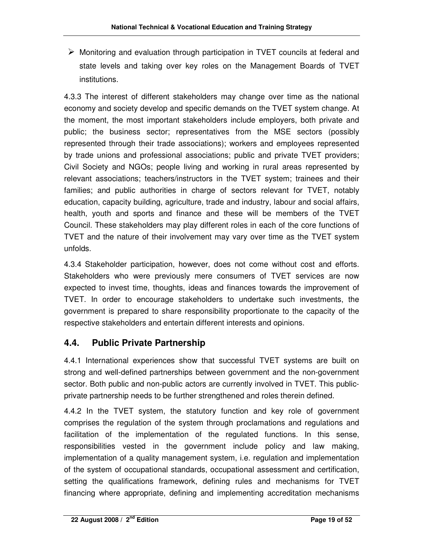$\triangleright$  Monitoring and evaluation through participation in TVET councils at federal and state levels and taking over key roles on the Management Boards of TVET institutions.

4.3.3 The interest of different stakeholders may change over time as the national economy and society develop and specific demands on the TVET system change. At the moment, the most important stakeholders include employers, both private and public; the business sector; representatives from the MSE sectors (possibly represented through their trade associations); workers and employees represented by trade unions and professional associations; public and private TVET providers; Civil Society and NGOs; people living and working in rural areas represented by relevant associations; teachers/instructors in the TVET system; trainees and their families; and public authorities in charge of sectors relevant for TVET, notably education, capacity building, agriculture, trade and industry, labour and social affairs, health, youth and sports and finance and these will be members of the TVET Council. These stakeholders may play different roles in each of the core functions of TVET and the nature of their involvement may vary over time as the TVET system unfolds.

4.3.4 Stakeholder participation, however, does not come without cost and efforts. Stakeholders who were previously mere consumers of TVET services are now expected to invest time, thoughts, ideas and finances towards the improvement of TVET. In order to encourage stakeholders to undertake such investments, the government is prepared to share responsibility proportionate to the capacity of the respective stakeholders and entertain different interests and opinions.

### **4.4. Public Private Partnership**

4.4.1 International experiences show that successful TVET systems are built on strong and well-defined partnerships between government and the non-government sector. Both public and non-public actors are currently involved in TVET. This publicprivate partnership needs to be further strengthened and roles therein defined.

4.4.2 In the TVET system, the statutory function and key role of government comprises the regulation of the system through proclamations and regulations and facilitation of the implementation of the regulated functions. In this sense, responsibilities vested in the government include policy and law making, implementation of a quality management system, i.e. regulation and implementation of the system of occupational standards, occupational assessment and certification, setting the qualifications framework, defining rules and mechanisms for TVET financing where appropriate, defining and implementing accreditation mechanisms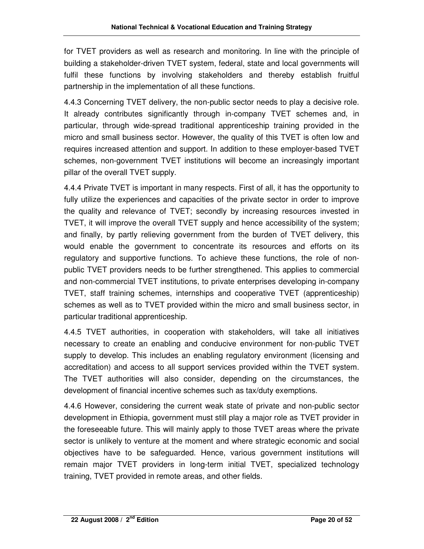for TVET providers as well as research and monitoring. In line with the principle of building a stakeholder-driven TVET system, federal, state and local governments will fulfil these functions by involving stakeholders and thereby establish fruitful partnership in the implementation of all these functions.

4.4.3 Concerning TVET delivery, the non-public sector needs to play a decisive role. It already contributes significantly through in-company TVET schemes and, in particular, through wide-spread traditional apprenticeship training provided in the micro and small business sector. However, the quality of this TVET is often low and requires increased attention and support. In addition to these employer-based TVET schemes, non-government TVET institutions will become an increasingly important pillar of the overall TVET supply.

4.4.4 Private TVET is important in many respects. First of all, it has the opportunity to fully utilize the experiences and capacities of the private sector in order to improve the quality and relevance of TVET; secondly by increasing resources invested in TVET, it will improve the overall TVET supply and hence accessibility of the system; and finally, by partly relieving government from the burden of TVET delivery, this would enable the government to concentrate its resources and efforts on its regulatory and supportive functions. To achieve these functions, the role of nonpublic TVET providers needs to be further strengthened. This applies to commercial and non-commercial TVET institutions, to private enterprises developing in-company TVET, staff training schemes, internships and cooperative TVET (apprenticeship) schemes as well as to TVET provided within the micro and small business sector, in particular traditional apprenticeship.

4.4.5 TVET authorities, in cooperation with stakeholders, will take all initiatives necessary to create an enabling and conducive environment for non-public TVET supply to develop. This includes an enabling regulatory environment (licensing and accreditation) and access to all support services provided within the TVET system. The TVET authorities will also consider, depending on the circumstances, the development of financial incentive schemes such as tax/duty exemptions.

4.4.6 However, considering the current weak state of private and non-public sector development in Ethiopia, government must still play a major role as TVET provider in the foreseeable future. This will mainly apply to those TVET areas where the private sector is unlikely to venture at the moment and where strategic economic and social objectives have to be safeguarded. Hence, various government institutions will remain major TVET providers in long-term initial TVET, specialized technology training, TVET provided in remote areas, and other fields.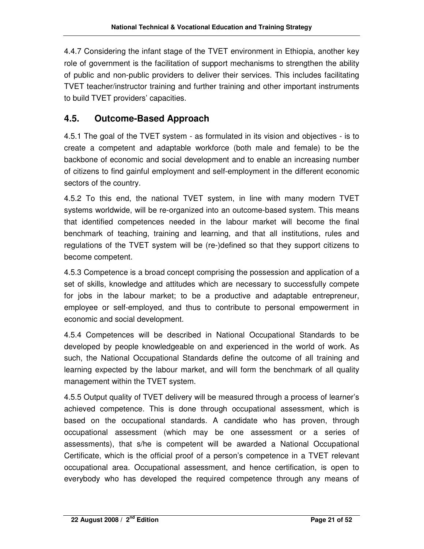4.4.7 Considering the infant stage of the TVET environment in Ethiopia, another key role of government is the facilitation of support mechanisms to strengthen the ability of public and non-public providers to deliver their services. This includes facilitating TVET teacher/instructor training and further training and other important instruments to build TVET providers' capacities.

#### **4.5. Outcome-Based Approach**

4.5.1 The goal of the TVET system - as formulated in its vision and objectives - is to create a competent and adaptable workforce (both male and female) to be the backbone of economic and social development and to enable an increasing number of citizens to find gainful employment and self-employment in the different economic sectors of the country.

4.5.2 To this end, the national TVET system, in line with many modern TVET systems worldwide, will be re-organized into an outcome-based system. This means that identified competences needed in the labour market will become the final benchmark of teaching, training and learning, and that all institutions, rules and regulations of the TVET system will be (re-)defined so that they support citizens to become competent.

4.5.3 Competence is a broad concept comprising the possession and application of a set of skills, knowledge and attitudes which are necessary to successfully compete for jobs in the labour market; to be a productive and adaptable entrepreneur, employee or self-employed, and thus to contribute to personal empowerment in economic and social development.

4.5.4 Competences will be described in National Occupational Standards to be developed by people knowledgeable on and experienced in the world of work. As such, the National Occupational Standards define the outcome of all training and learning expected by the labour market, and will form the benchmark of all quality management within the TVET system.

4.5.5 Output quality of TVET delivery will be measured through a process of learner's achieved competence. This is done through occupational assessment, which is based on the occupational standards. A candidate who has proven, through occupational assessment (which may be one assessment or a series of assessments), that s/he is competent will be awarded a National Occupational Certificate, which is the official proof of a person's competence in a TVET relevant occupational area. Occupational assessment, and hence certification, is open to everybody who has developed the required competence through any means of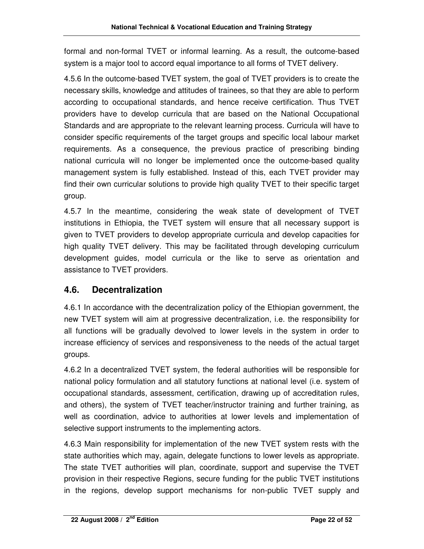formal and non-formal TVET or informal learning. As a result, the outcome-based system is a major tool to accord equal importance to all forms of TVET delivery.

4.5.6 In the outcome-based TVET system, the goal of TVET providers is to create the necessary skills, knowledge and attitudes of trainees, so that they are able to perform according to occupational standards, and hence receive certification. Thus TVET providers have to develop curricula that are based on the National Occupational Standards and are appropriate to the relevant learning process. Curricula will have to consider specific requirements of the target groups and specific local labour market requirements. As a consequence, the previous practice of prescribing binding national curricula will no longer be implemented once the outcome-based quality management system is fully established. Instead of this, each TVET provider may find their own curricular solutions to provide high quality TVET to their specific target group.

4.5.7 In the meantime, considering the weak state of development of TVET institutions in Ethiopia, the TVET system will ensure that all necessary support is given to TVET providers to develop appropriate curricula and develop capacities for high quality TVET delivery. This may be facilitated through developing curriculum development guides, model curricula or the like to serve as orientation and assistance to TVET providers.

#### **4.6. Decentralization**

4.6.1 In accordance with the decentralization policy of the Ethiopian government, the new TVET system will aim at progressive decentralization, i.e. the responsibility for all functions will be gradually devolved to lower levels in the system in order to increase efficiency of services and responsiveness to the needs of the actual target groups.

4.6.2 In a decentralized TVET system, the federal authorities will be responsible for national policy formulation and all statutory functions at national level (i.e. system of occupational standards, assessment, certification, drawing up of accreditation rules, and others), the system of TVET teacher/instructor training and further training, as well as coordination, advice to authorities at lower levels and implementation of selective support instruments to the implementing actors.

4.6.3 Main responsibility for implementation of the new TVET system rests with the state authorities which may, again, delegate functions to lower levels as appropriate. The state TVET authorities will plan, coordinate, support and supervise the TVET provision in their respective Regions, secure funding for the public TVET institutions in the regions, develop support mechanisms for non-public TVET supply and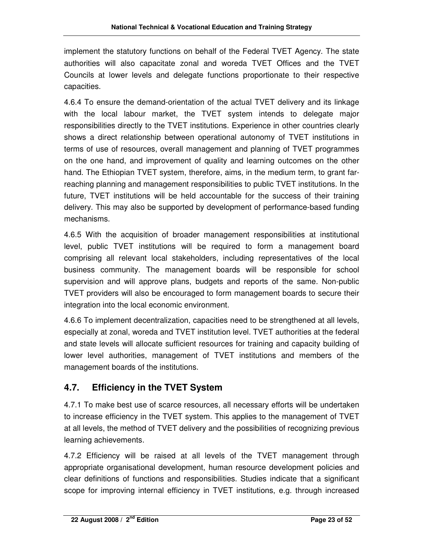implement the statutory functions on behalf of the Federal TVET Agency. The state authorities will also capacitate zonal and woreda TVET Offices and the TVET Councils at lower levels and delegate functions proportionate to their respective capacities.

4.6.4 To ensure the demand-orientation of the actual TVET delivery and its linkage with the local labour market, the TVET system intends to delegate major responsibilities directly to the TVET institutions. Experience in other countries clearly shows a direct relationship between operational autonomy of TVET institutions in terms of use of resources, overall management and planning of TVET programmes on the one hand, and improvement of quality and learning outcomes on the other hand. The Ethiopian TVET system, therefore, aims, in the medium term, to grant farreaching planning and management responsibilities to public TVET institutions. In the future, TVET institutions will be held accountable for the success of their training delivery. This may also be supported by development of performance-based funding mechanisms.

4.6.5 With the acquisition of broader management responsibilities at institutional level, public TVET institutions will be required to form a management board comprising all relevant local stakeholders, including representatives of the local business community. The management boards will be responsible for school supervision and will approve plans, budgets and reports of the same. Non-public TVET providers will also be encouraged to form management boards to secure their integration into the local economic environment.

4.6.6 To implement decentralization, capacities need to be strengthened at all levels, especially at zonal, woreda and TVET institution level. TVET authorities at the federal and state levels will allocate sufficient resources for training and capacity building of lower level authorities, management of TVET institutions and members of the management boards of the institutions.

### **4.7. Efficiency in the TVET System**

4.7.1 To make best use of scarce resources, all necessary efforts will be undertaken to increase efficiency in the TVET system. This applies to the management of TVET at all levels, the method of TVET delivery and the possibilities of recognizing previous learning achievements.

4.7.2 Efficiency will be raised at all levels of the TVET management through appropriate organisational development, human resource development policies and clear definitions of functions and responsibilities. Studies indicate that a significant scope for improving internal efficiency in TVET institutions, e.g. through increased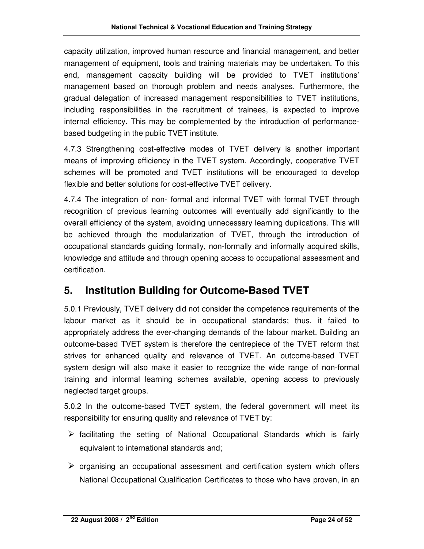capacity utilization, improved human resource and financial management, and better management of equipment, tools and training materials may be undertaken. To this end, management capacity building will be provided to TVET institutions' management based on thorough problem and needs analyses. Furthermore, the gradual delegation of increased management responsibilities to TVET institutions, including responsibilities in the recruitment of trainees, is expected to improve internal efficiency. This may be complemented by the introduction of performancebased budgeting in the public TVET institute.

4.7.3 Strengthening cost-effective modes of TVET delivery is another important means of improving efficiency in the TVET system. Accordingly, cooperative TVET schemes will be promoted and TVET institutions will be encouraged to develop flexible and better solutions for cost-effective TVET delivery.

4.7.4 The integration of non- formal and informal TVET with formal TVET through recognition of previous learning outcomes will eventually add significantly to the overall efficiency of the system, avoiding unnecessary learning duplications. This will be achieved through the modularization of TVET, through the introduction of occupational standards guiding formally, non-formally and informally acquired skills, knowledge and attitude and through opening access to occupational assessment and certification.

### **5. Institution Building for Outcome-Based TVET**

5.0.1 Previously, TVET delivery did not consider the competence requirements of the labour market as it should be in occupational standards; thus, it failed to appropriately address the ever-changing demands of the labour market. Building an outcome-based TVET system is therefore the centrepiece of the TVET reform that strives for enhanced quality and relevance of TVET. An outcome-based TVET system design will also make it easier to recognize the wide range of non-formal training and informal learning schemes available, opening access to previously neglected target groups.

5.0.2 In the outcome-based TVET system, the federal government will meet its responsibility for ensuring quality and relevance of TVET by:

- $\triangleright$  facilitating the setting of National Occupational Standards which is fairly equivalent to international standards and;
- $\triangleright$  organising an occupational assessment and certification system which offers National Occupational Qualification Certificates to those who have proven, in an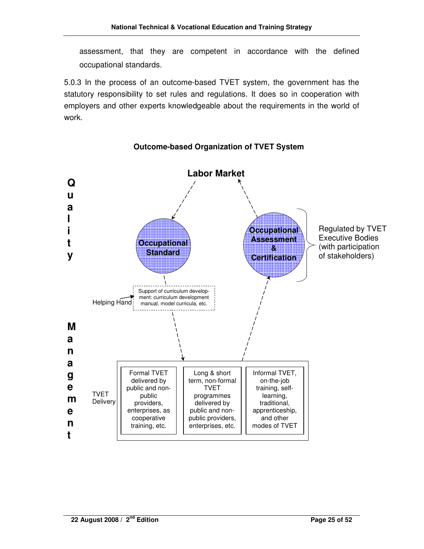assessment, that they are competent in accordance with the defined occupational standards.

5.0.3 In the process of an outcome-based TVET system, the government has the statutory responsibility to set rules and regulations. It does so in cooperation with employers and other experts knowledgeable about the requirements in the world of work.



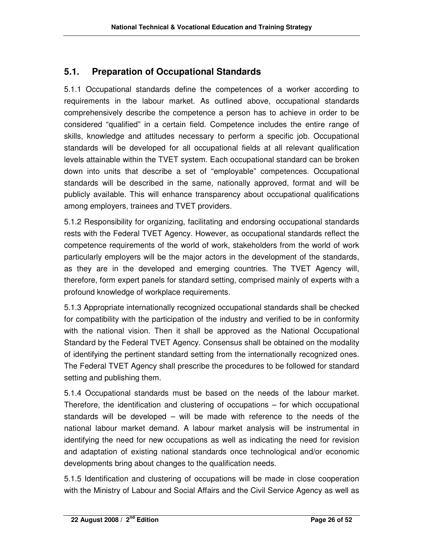### **5.1. Preparation of Occupational Standards**

5.1.1 Occupational standards define the competences of a worker according to requirements in the labour market. As outlined above, occupational standards comprehensively describe the competence a person has to achieve in order to be considered "qualified" in a certain field. Competence includes the entire range of skills, knowledge and attitudes necessary to perform a specific job. Occupational standards will be developed for all occupational fields at all relevant qualification levels attainable within the TVET system. Each occupational standard can be broken down into units that describe a set of "employable" competences. Occupational standards will be described in the same, nationally approved, format and will be publicly available. This will enhance transparency about occupational qualifications among employers, trainees and TVET providers.

5.1.2 Responsibility for organizing, facilitating and endorsing occupational standards rests with the Federal TVET Agency. However, as occupational standards reflect the competence requirements of the world of work, stakeholders from the world of work particularly employers will be the major actors in the development of the standards, as they are in the developed and emerging countries. The TVET Agency will, therefore, form expert panels for standard setting, comprised mainly of experts with a profound knowledge of workplace requirements.

5.1.3 Appropriate internationally recognized occupational standards shall be checked for compatibility with the participation of the industry and verified to be in conformity with the national vision. Then it shall be approved as the National Occupational Standard by the Federal TVET Agency. Consensus shall be obtained on the modality of identifying the pertinent standard setting from the internationally recognized ones. The Federal TVET Agency shall prescribe the procedures to be followed for standard setting and publishing them.

5.1.4 Occupational standards must be based on the needs of the labour market. Therefore, the identification and clustering of occupations – for which occupational standards will be developed – will be made with reference to the needs of the national labour market demand. A labour market analysis will be instrumental in identifying the need for new occupations as well as indicating the need for revision and adaptation of existing national standards once technological and/or economic developments bring about changes to the qualification needs.

5.1.5 Identification and clustering of occupations will be made in close cooperation with the Ministry of Labour and Social Affairs and the Civil Service Agency as well as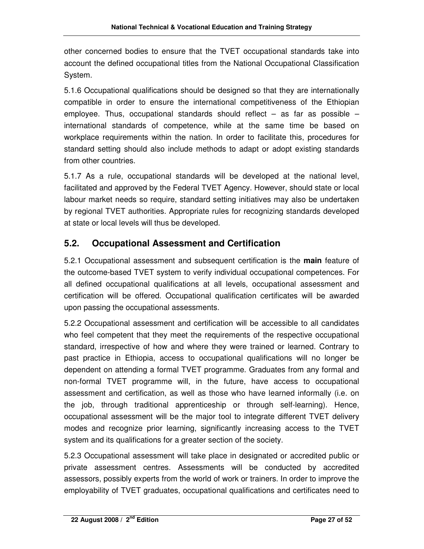other concerned bodies to ensure that the TVET occupational standards take into account the defined occupational titles from the National Occupational Classification System.

5.1.6 Occupational qualifications should be designed so that they are internationally compatible in order to ensure the international competitiveness of the Ethiopian employee. Thus, occupational standards should reflect  $-$  as far as possible  $$ international standards of competence, while at the same time be based on workplace requirements within the nation. In order to facilitate this, procedures for standard setting should also include methods to adapt or adopt existing standards from other countries.

5.1.7 As a rule, occupational standards will be developed at the national level, facilitated and approved by the Federal TVET Agency. However, should state or local labour market needs so require, standard setting initiatives may also be undertaken by regional TVET authorities. Appropriate rules for recognizing standards developed at state or local levels will thus be developed.

### **5.2. Occupational Assessment and Certification**

5.2.1 Occupational assessment and subsequent certification is the **main** feature of the outcome-based TVET system to verify individual occupational competences. For all defined occupational qualifications at all levels, occupational assessment and certification will be offered. Occupational qualification certificates will be awarded upon passing the occupational assessments.

5.2.2 Occupational assessment and certification will be accessible to all candidates who feel competent that they meet the requirements of the respective occupational standard, irrespective of how and where they were trained or learned. Contrary to past practice in Ethiopia, access to occupational qualifications will no longer be dependent on attending a formal TVET programme. Graduates from any formal and non-formal TVET programme will, in the future, have access to occupational assessment and certification, as well as those who have learned informally (i.e. on the job, through traditional apprenticeship or through self-learning). Hence, occupational assessment will be the major tool to integrate different TVET delivery modes and recognize prior learning, significantly increasing access to the TVET system and its qualifications for a greater section of the society.

5.2.3 Occupational assessment will take place in designated or accredited public or private assessment centres. Assessments will be conducted by accredited assessors, possibly experts from the world of work or trainers. In order to improve the employability of TVET graduates, occupational qualifications and certificates need to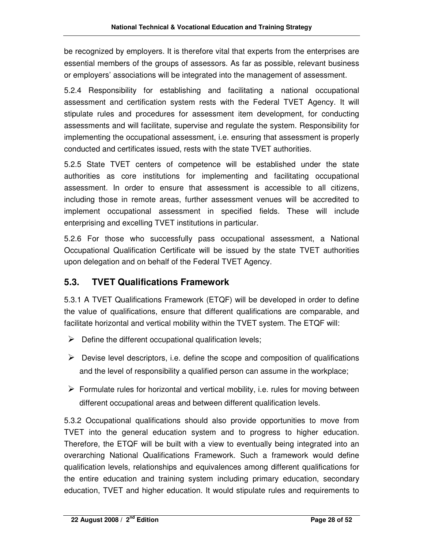be recognized by employers. It is therefore vital that experts from the enterprises are essential members of the groups of assessors. As far as possible, relevant business or employers' associations will be integrated into the management of assessment.

5.2.4 Responsibility for establishing and facilitating a national occupational assessment and certification system rests with the Federal TVET Agency. It will stipulate rules and procedures for assessment item development, for conducting assessments and will facilitate, supervise and regulate the system. Responsibility for implementing the occupational assessment, i.e. ensuring that assessment is properly conducted and certificates issued, rests with the state TVET authorities.

5.2.5 State TVET centers of competence will be established under the state authorities as core institutions for implementing and facilitating occupational assessment. In order to ensure that assessment is accessible to all citizens, including those in remote areas, further assessment venues will be accredited to implement occupational assessment in specified fields. These will include enterprising and excelling TVET institutions in particular.

5.2.6 For those who successfully pass occupational assessment, a National Occupational Qualification Certificate will be issued by the state TVET authorities upon delegation and on behalf of the Federal TVET Agency.

### **5.3. TVET Qualifications Framework**

5.3.1 A TVET Qualifications Framework (ETQF) will be developed in order to define the value of qualifications, ensure that different qualifications are comparable, and facilitate horizontal and vertical mobility within the TVET system. The ETQF will:

- $\triangleright$  Define the different occupational qualification levels;
- $\triangleright$  Devise level descriptors, i.e. define the scope and composition of qualifications and the level of responsibility a qualified person can assume in the workplace;
- $\triangleright$  Formulate rules for horizontal and vertical mobility, i.e. rules for moving between different occupational areas and between different qualification levels.

5.3.2 Occupational qualifications should also provide opportunities to move from TVET into the general education system and to progress to higher education. Therefore, the ETQF will be built with a view to eventually being integrated into an overarching National Qualifications Framework. Such a framework would define qualification levels, relationships and equivalences among different qualifications for the entire education and training system including primary education, secondary education, TVET and higher education. It would stipulate rules and requirements to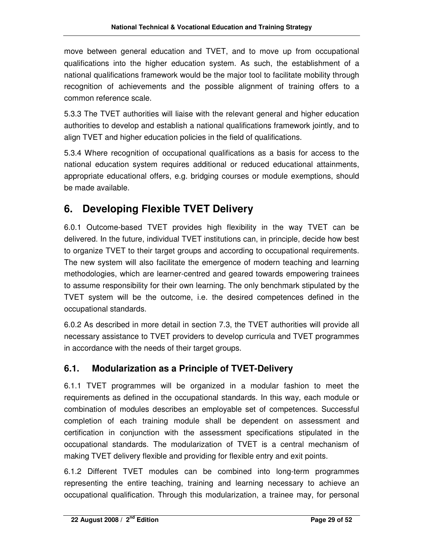move between general education and TVET, and to move up from occupational qualifications into the higher education system. As such, the establishment of a national qualifications framework would be the major tool to facilitate mobility through recognition of achievements and the possible alignment of training offers to a common reference scale.

5.3.3 The TVET authorities will liaise with the relevant general and higher education authorities to develop and establish a national qualifications framework jointly, and to align TVET and higher education policies in the field of qualifications.

5.3.4 Where recognition of occupational qualifications as a basis for access to the national education system requires additional or reduced educational attainments, appropriate educational offers, e.g. bridging courses or module exemptions, should be made available.

## **6. Developing Flexible TVET Delivery**

6.0.1 Outcome-based TVET provides high flexibility in the way TVET can be delivered. In the future, individual TVET institutions can, in principle, decide how best to organize TVET to their target groups and according to occupational requirements. The new system will also facilitate the emergence of modern teaching and learning methodologies, which are learner-centred and geared towards empowering trainees to assume responsibility for their own learning. The only benchmark stipulated by the TVET system will be the outcome, i.e. the desired competences defined in the occupational standards.

6.0.2 As described in more detail in section 7.3, the TVET authorities will provide all necessary assistance to TVET providers to develop curricula and TVET programmes in accordance with the needs of their target groups.

### **6.1. Modularization as a Principle of TVET-Delivery**

6.1.1 TVET programmes will be organized in a modular fashion to meet the requirements as defined in the occupational standards. In this way, each module or combination of modules describes an employable set of competences. Successful completion of each training module shall be dependent on assessment and certification in conjunction with the assessment specifications stipulated in the occupational standards. The modularization of TVET is a central mechanism of making TVET delivery flexible and providing for flexible entry and exit points.

6.1.2 Different TVET modules can be combined into long-term programmes representing the entire teaching, training and learning necessary to achieve an occupational qualification. Through this modularization, a trainee may, for personal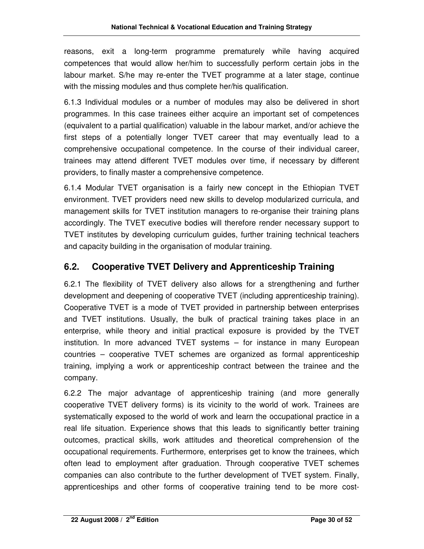reasons, exit a long-term programme prematurely while having acquired competences that would allow her/him to successfully perform certain jobs in the labour market. S/he may re-enter the TVET programme at a later stage, continue with the missing modules and thus complete her/his qualification.

6.1.3 Individual modules or a number of modules may also be delivered in short programmes. In this case trainees either acquire an important set of competences (equivalent to a partial qualification) valuable in the labour market, and/or achieve the first steps of a potentially longer TVET career that may eventually lead to a comprehensive occupational competence. In the course of their individual career, trainees may attend different TVET modules over time, if necessary by different providers, to finally master a comprehensive competence.

6.1.4 Modular TVET organisation is a fairly new concept in the Ethiopian TVET environment. TVET providers need new skills to develop modularized curricula, and management skills for TVET institution managers to re-organise their training plans accordingly. The TVET executive bodies will therefore render necessary support to TVET institutes by developing curriculum guides, further training technical teachers and capacity building in the organisation of modular training.

#### **6.2. Cooperative TVET Delivery and Apprenticeship Training**

6.2.1 The flexibility of TVET delivery also allows for a strengthening and further development and deepening of cooperative TVET (including apprenticeship training). Cooperative TVET is a mode of TVET provided in partnership between enterprises and TVET institutions. Usually, the bulk of practical training takes place in an enterprise, while theory and initial practical exposure is provided by the TVET institution. In more advanced TVET systems – for instance in many European countries – cooperative TVET schemes are organized as formal apprenticeship training, implying a work or apprenticeship contract between the trainee and the company.

6.2.2 The major advantage of apprenticeship training (and more generally cooperative TVET delivery forms) is its vicinity to the world of work. Trainees are systematically exposed to the world of work and learn the occupational practice in a real life situation. Experience shows that this leads to significantly better training outcomes, practical skills, work attitudes and theoretical comprehension of the occupational requirements. Furthermore, enterprises get to know the trainees, which often lead to employment after graduation. Through cooperative TVET schemes companies can also contribute to the further development of TVET system. Finally, apprenticeships and other forms of cooperative training tend to be more cost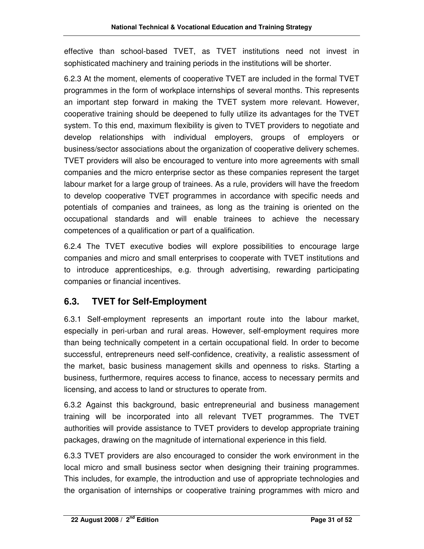effective than school-based TVET, as TVET institutions need not invest in sophisticated machinery and training periods in the institutions will be shorter.

6.2.3 At the moment, elements of cooperative TVET are included in the formal TVET programmes in the form of workplace internships of several months. This represents an important step forward in making the TVET system more relevant. However, cooperative training should be deepened to fully utilize its advantages for the TVET system. To this end, maximum flexibility is given to TVET providers to negotiate and develop relationships with individual employers, groups of employers or business/sector associations about the organization of cooperative delivery schemes. TVET providers will also be encouraged to venture into more agreements with small companies and the micro enterprise sector as these companies represent the target labour market for a large group of trainees. As a rule, providers will have the freedom to develop cooperative TVET programmes in accordance with specific needs and potentials of companies and trainees, as long as the training is oriented on the occupational standards and will enable trainees to achieve the necessary competences of a qualification or part of a qualification.

6.2.4 The TVET executive bodies will explore possibilities to encourage large companies and micro and small enterprises to cooperate with TVET institutions and to introduce apprenticeships, e.g. through advertising, rewarding participating companies or financial incentives.

### **6.3. TVET for Self-Employment**

6.3.1 Self-employment represents an important route into the labour market, especially in peri-urban and rural areas. However, self-employment requires more than being technically competent in a certain occupational field. In order to become successful, entrepreneurs need self-confidence, creativity, a realistic assessment of the market, basic business management skills and openness to risks. Starting a business, furthermore, requires access to finance, access to necessary permits and licensing, and access to land or structures to operate from.

6.3.2 Against this background, basic entrepreneurial and business management training will be incorporated into all relevant TVET programmes. The TVET authorities will provide assistance to TVET providers to develop appropriate training packages, drawing on the magnitude of international experience in this field.

6.3.3 TVET providers are also encouraged to consider the work environment in the local micro and small business sector when designing their training programmes. This includes, for example, the introduction and use of appropriate technologies and the organisation of internships or cooperative training programmes with micro and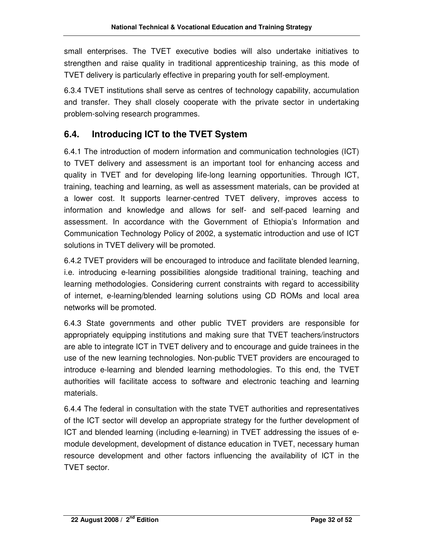small enterprises. The TVET executive bodies will also undertake initiatives to strengthen and raise quality in traditional apprenticeship training, as this mode of TVET delivery is particularly effective in preparing youth for self-employment.

6.3.4 TVET institutions shall serve as centres of technology capability, accumulation and transfer. They shall closely cooperate with the private sector in undertaking problem-solving research programmes.

### **6.4. Introducing ICT to the TVET System**

6.4.1 The introduction of modern information and communication technologies (ICT) to TVET delivery and assessment is an important tool for enhancing access and quality in TVET and for developing life-long learning opportunities. Through ICT, training, teaching and learning, as well as assessment materials, can be provided at a lower cost. It supports learner-centred TVET delivery, improves access to information and knowledge and allows for self- and self-paced learning and assessment. In accordance with the Government of Ethiopia's Information and Communication Technology Policy of 2002, a systematic introduction and use of ICT solutions in TVET delivery will be promoted.

6.4.2 TVET providers will be encouraged to introduce and facilitate blended learning, i.e. introducing e-learning possibilities alongside traditional training, teaching and learning methodologies. Considering current constraints with regard to accessibility of internet, e-learning/blended learning solutions using CD ROMs and local area networks will be promoted.

6.4.3 State governments and other public TVET providers are responsible for appropriately equipping institutions and making sure that TVET teachers/instructors are able to integrate ICT in TVET delivery and to encourage and guide trainees in the use of the new learning technologies. Non-public TVET providers are encouraged to introduce e-learning and blended learning methodologies. To this end, the TVET authorities will facilitate access to software and electronic teaching and learning materials.

6.4.4 The federal in consultation with the state TVET authorities and representatives of the ICT sector will develop an appropriate strategy for the further development of ICT and blended learning (including e-learning) in TVET addressing the issues of emodule development, development of distance education in TVET, necessary human resource development and other factors influencing the availability of ICT in the TVET sector.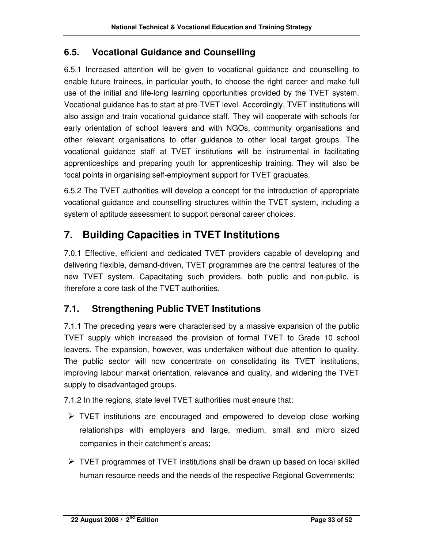#### **6.5. Vocational Guidance and Counselling**

6.5.1 Increased attention will be given to vocational guidance and counselling to enable future trainees, in particular youth, to choose the right career and make full use of the initial and life-long learning opportunities provided by the TVET system. Vocational guidance has to start at pre-TVET level. Accordingly, TVET institutions will also assign and train vocational guidance staff. They will cooperate with schools for early orientation of school leavers and with NGOs, community organisations and other relevant organisations to offer guidance to other local target groups. The vocational guidance staff at TVET institutions will be instrumental in facilitating apprenticeships and preparing youth for apprenticeship training. They will also be focal points in organising self-employment support for TVET graduates.

6.5.2 The TVET authorities will develop a concept for the introduction of appropriate vocational guidance and counselling structures within the TVET system, including a system of aptitude assessment to support personal career choices.

### **7. Building Capacities in TVET Institutions**

7.0.1 Effective, efficient and dedicated TVET providers capable of developing and delivering flexible, demand-driven, TVET programmes are the central features of the new TVET system. Capacitating such providers, both public and non-public, is therefore a core task of the TVET authorities.

### **7.1. Strengthening Public TVET Institutions**

7.1.1 The preceding years were characterised by a massive expansion of the public TVET supply which increased the provision of formal TVET to Grade 10 school leavers. The expansion, however, was undertaken without due attention to quality. The public sector will now concentrate on consolidating its TVET institutions, improving labour market orientation, relevance and quality, and widening the TVET supply to disadvantaged groups.

7.1.2 In the regions, state level TVET authorities must ensure that:

- $\triangleright$  TVET institutions are encouraged and empowered to develop close working relationships with employers and large, medium, small and micro sized companies in their catchment's areas;
- $\triangleright$  TVET programmes of TVET institutions shall be drawn up based on local skilled human resource needs and the needs of the respective Regional Governments;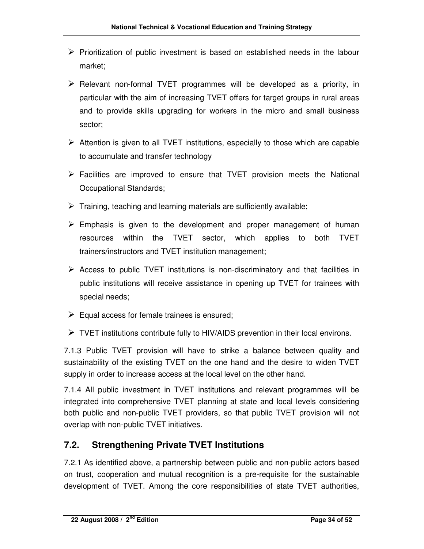- $\triangleright$  Prioritization of public investment is based on established needs in the labour market;
- $\triangleright$  Relevant non-formal TVET programmes will be developed as a priority, in particular with the aim of increasing TVET offers for target groups in rural areas and to provide skills upgrading for workers in the micro and small business sector;
- $\triangleright$  Attention is given to all TVET institutions, especially to those which are capable to accumulate and transfer technology
- $\triangleright$  Facilities are improved to ensure that TVET provision meets the National Occupational Standards;
- $\triangleright$  Training, teaching and learning materials are sufficiently available;
- $\triangleright$  Emphasis is given to the development and proper management of human resources within the TVET sector, which applies to both TVET trainers/instructors and TVET institution management;
- $\triangleright$  Access to public TVET institutions is non-discriminatory and that facilities in public institutions will receive assistance in opening up TVET for trainees with special needs;
- $\triangleright$  Equal access for female trainees is ensured;
- $\triangleright$  TVET institutions contribute fully to HIV/AIDS prevention in their local environs.

7.1.3 Public TVET provision will have to strike a balance between quality and sustainability of the existing TVET on the one hand and the desire to widen TVET supply in order to increase access at the local level on the other hand.

7.1.4 All public investment in TVET institutions and relevant programmes will be integrated into comprehensive TVET planning at state and local levels considering both public and non-public TVET providers, so that public TVET provision will not overlap with non-public TVET initiatives.

### **7.2. Strengthening Private TVET Institutions**

7.2.1 As identified above, a partnership between public and non-public actors based on trust, cooperation and mutual recognition is a pre-requisite for the sustainable development of TVET. Among the core responsibilities of state TVET authorities,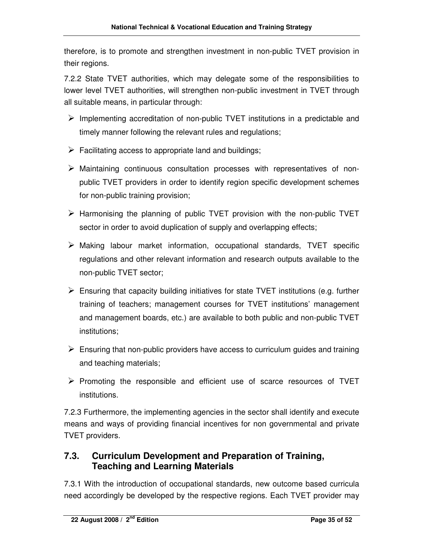therefore, is to promote and strengthen investment in non-public TVET provision in their regions.

7.2.2 State TVET authorities, which may delegate some of the responsibilities to lower level TVET authorities, will strengthen non-public investment in TVET through all suitable means, in particular through:

- $\triangleright$  Implementing accreditation of non-public TVET institutions in a predictable and timely manner following the relevant rules and regulations;
- $\triangleright$  Facilitating access to appropriate land and buildings;
- $\triangleright$  Maintaining continuous consultation processes with representatives of nonpublic TVET providers in order to identify region specific development schemes for non-public training provision;
- $\triangleright$  Harmonising the planning of public TVET provision with the non-public TVET sector in order to avoid duplication of supply and overlapping effects;
- $\triangleright$  Making labour market information, occupational standards, TVET specific regulations and other relevant information and research outputs available to the non-public TVET sector;
- $\triangleright$  Ensuring that capacity building initiatives for state TVET institutions (e.g. further training of teachers; management courses for TVET institutions' management and management boards, etc.) are available to both public and non-public TVET institutions;
- $\triangleright$  Ensuring that non-public providers have access to curriculum guides and training and teaching materials;
- $\triangleright$  Promoting the responsible and efficient use of scarce resources of TVET institutions.

7.2.3 Furthermore, the implementing agencies in the sector shall identify and execute means and ways of providing financial incentives for non governmental and private TVET providers.

#### **7.3. Curriculum Development and Preparation of Training, Teaching and Learning Materials**

7.3.1 With the introduction of occupational standards, new outcome based curricula need accordingly be developed by the respective regions. Each TVET provider may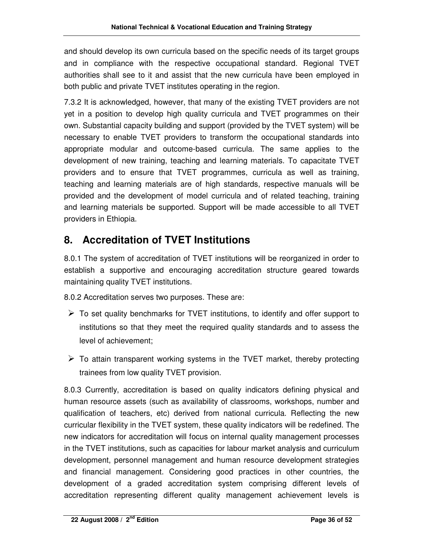and should develop its own curricula based on the specific needs of its target groups and in compliance with the respective occupational standard. Regional TVET authorities shall see to it and assist that the new curricula have been employed in both public and private TVET institutes operating in the region.

7.3.2 It is acknowledged, however, that many of the existing TVET providers are not yet in a position to develop high quality curricula and TVET programmes on their own. Substantial capacity building and support (provided by the TVET system) will be necessary to enable TVET providers to transform the occupational standards into appropriate modular and outcome-based curricula. The same applies to the development of new training, teaching and learning materials. To capacitate TVET providers and to ensure that TVET programmes, curricula as well as training, teaching and learning materials are of high standards, respective manuals will be provided and the development of model curricula and of related teaching, training and learning materials be supported. Support will be made accessible to all TVET providers in Ethiopia.

## **8. Accreditation of TVET Institutions**

8.0.1 The system of accreditation of TVET institutions will be reorganized in order to establish a supportive and encouraging accreditation structure geared towards maintaining quality TVET institutions.

8.0.2 Accreditation serves two purposes. These are:

- $\triangleright$  To set quality benchmarks for TVET institutions, to identify and offer support to institutions so that they meet the required quality standards and to assess the level of achievement;
- $\triangleright$  To attain transparent working systems in the TVET market, thereby protecting trainees from low quality TVET provision.

8.0.3 Currently, accreditation is based on quality indicators defining physical and human resource assets (such as availability of classrooms, workshops, number and qualification of teachers, etc) derived from national curricula. Reflecting the new curricular flexibility in the TVET system, these quality indicators will be redefined. The new indicators for accreditation will focus on internal quality management processes in the TVET institutions, such as capacities for labour market analysis and curriculum development, personnel management and human resource development strategies and financial management. Considering good practices in other countries, the development of a graded accreditation system comprising different levels of accreditation representing different quality management achievement levels is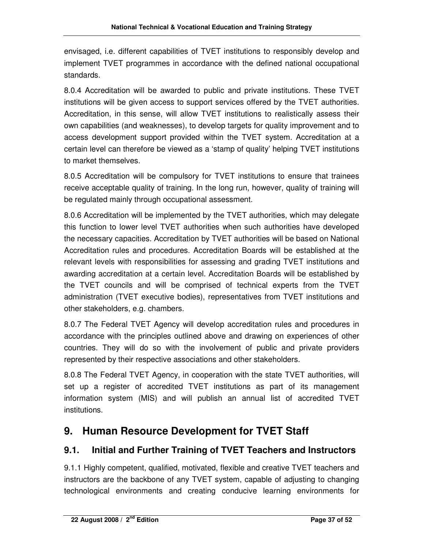envisaged, i.e. different capabilities of TVET institutions to responsibly develop and implement TVET programmes in accordance with the defined national occupational standards.

8.0.4 Accreditation will be awarded to public and private institutions. These TVET institutions will be given access to support services offered by the TVET authorities. Accreditation, in this sense, will allow TVET institutions to realistically assess their own capabilities (and weaknesses), to develop targets for quality improvement and to access development support provided within the TVET system. Accreditation at a certain level can therefore be viewed as a 'stamp of quality' helping TVET institutions to market themselves.

8.0.5 Accreditation will be compulsory for TVET institutions to ensure that trainees receive acceptable quality of training. In the long run, however, quality of training will be regulated mainly through occupational assessment.

8.0.6 Accreditation will be implemented by the TVET authorities, which may delegate this function to lower level TVET authorities when such authorities have developed the necessary capacities. Accreditation by TVET authorities will be based on National Accreditation rules and procedures. Accreditation Boards will be established at the relevant levels with responsibilities for assessing and grading TVET institutions and awarding accreditation at a certain level. Accreditation Boards will be established by the TVET councils and will be comprised of technical experts from the TVET administration (TVET executive bodies), representatives from TVET institutions and other stakeholders, e.g. chambers.

8.0.7 The Federal TVET Agency will develop accreditation rules and procedures in accordance with the principles outlined above and drawing on experiences of other countries. They will do so with the involvement of public and private providers represented by their respective associations and other stakeholders.

8.0.8 The Federal TVET Agency, in cooperation with the state TVET authorities, will set up a register of accredited TVET institutions as part of its management information system (MIS) and will publish an annual list of accredited TVET institutions.

## **9. Human Resource Development for TVET Staff**

### **9.1. Initial and Further Training of TVET Teachers and Instructors**

9.1.1 Highly competent, qualified, motivated, flexible and creative TVET teachers and instructors are the backbone of any TVET system, capable of adjusting to changing technological environments and creating conducive learning environments for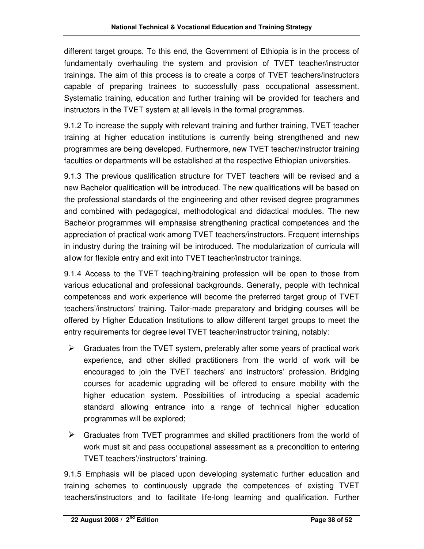different target groups. To this end, the Government of Ethiopia is in the process of fundamentally overhauling the system and provision of TVET teacher/instructor trainings. The aim of this process is to create a corps of TVET teachers/instructors capable of preparing trainees to successfully pass occupational assessment. Systematic training, education and further training will be provided for teachers and instructors in the TVET system at all levels in the formal programmes.

9.1.2 To increase the supply with relevant training and further training, TVET teacher training at higher education institutions is currently being strengthened and new programmes are being developed. Furthermore, new TVET teacher/instructor training faculties or departments will be established at the respective Ethiopian universities.

9.1.3 The previous qualification structure for TVET teachers will be revised and a new Bachelor qualification will be introduced. The new qualifications will be based on the professional standards of the engineering and other revised degree programmes and combined with pedagogical, methodological and didactical modules. The new Bachelor programmes will emphasise strengthening practical competences and the appreciation of practical work among TVET teachers/instructors. Frequent internships in industry during the training will be introduced. The modularization of curricula will allow for flexible entry and exit into TVET teacher/instructor trainings.

9.1.4 Access to the TVET teaching/training profession will be open to those from various educational and professional backgrounds. Generally, people with technical competences and work experience will become the preferred target group of TVET teachers'/instructors' training. Tailor-made preparatory and bridging courses will be offered by Higher Education Institutions to allow different target groups to meet the entry requirements for degree level TVET teacher/instructor training, notably:

- $\triangleright$  Graduates from the TVET system, preferably after some years of practical work experience, and other skilled practitioners from the world of work will be encouraged to join the TVET teachers' and instructors' profession. Bridging courses for academic upgrading will be offered to ensure mobility with the higher education system. Possibilities of introducing a special academic standard allowing entrance into a range of technical higher education programmes will be explored;
- $\triangleright$  Graduates from TVET programmes and skilled practitioners from the world of work must sit and pass occupational assessment as a precondition to entering TVET teachers'/instructors' training.

9.1.5 Emphasis will be placed upon developing systematic further education and training schemes to continuously upgrade the competences of existing TVET teachers/instructors and to facilitate life-long learning and qualification. Further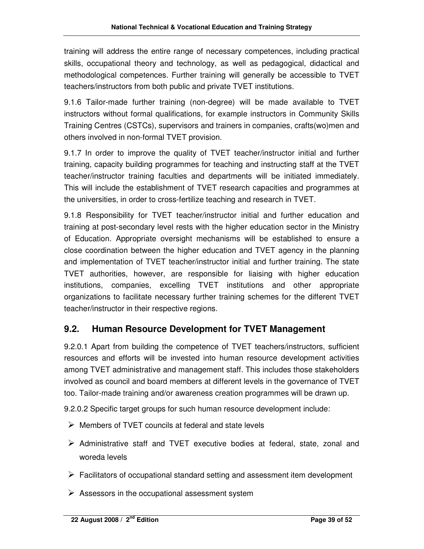training will address the entire range of necessary competences, including practical skills, occupational theory and technology, as well as pedagogical, didactical and methodological competences. Further training will generally be accessible to TVET teachers/instructors from both public and private TVET institutions.

9.1.6 Tailor-made further training (non-degree) will be made available to TVET instructors without formal qualifications, for example instructors in Community Skills Training Centres (CSTCs), supervisors and trainers in companies, crafts(wo)men and others involved in non-formal TVET provision.

9.1.7 In order to improve the quality of TVET teacher/instructor initial and further training, capacity building programmes for teaching and instructing staff at the TVET teacher/instructor training faculties and departments will be initiated immediately. This will include the establishment of TVET research capacities and programmes at the universities, in order to cross-fertilize teaching and research in TVET.

9.1.8 Responsibility for TVET teacher/instructor initial and further education and training at post-secondary level rests with the higher education sector in the Ministry of Education. Appropriate oversight mechanisms will be established to ensure a close coordination between the higher education and TVET agency in the planning and implementation of TVET teacher/instructor initial and further training. The state TVET authorities, however, are responsible for liaising with higher education institutions, companies, excelling TVET institutions and other appropriate organizations to facilitate necessary further training schemes for the different TVET teacher/instructor in their respective regions.

#### **9.2. Human Resource Development for TVET Management**

9.2.0.1 Apart from building the competence of TVET teachers/instructors, sufficient resources and efforts will be invested into human resource development activities among TVET administrative and management staff. This includes those stakeholders involved as council and board members at different levels in the governance of TVET too. Tailor-made training and/or awareness creation programmes will be drawn up.

9.2.0.2 Specific target groups for such human resource development include:

- Members of TVET councils at federal and state levels
- $\triangleright$  Administrative staff and TVET executive bodies at federal, state, zonal and woreda levels
- $\triangleright$  Facilitators of occupational standard setting and assessment item development
- $\triangleright$  Assessors in the occupational assessment system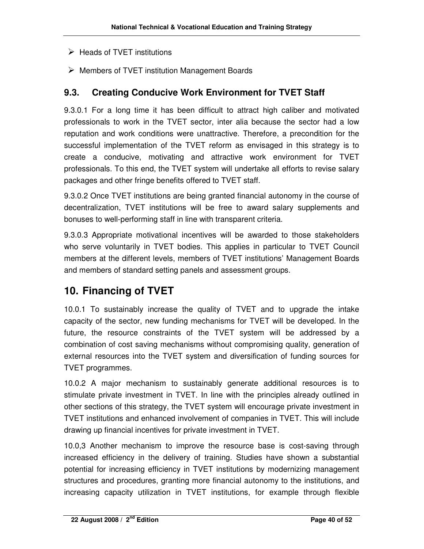- $\triangleright$  Heads of TVET institutions
- $\triangleright$  Members of TVET institution Management Boards

#### **9.3. Creating Conducive Work Environment for TVET Staff**

9.3.0.1 For a long time it has been difficult to attract high caliber and motivated professionals to work in the TVET sector, inter alia because the sector had a low reputation and work conditions were unattractive. Therefore, a precondition for the successful implementation of the TVET reform as envisaged in this strategy is to create a conducive, motivating and attractive work environment for TVET professionals. To this end, the TVET system will undertake all efforts to revise salary packages and other fringe benefits offered to TVET staff.

9.3.0.2 Once TVET institutions are being granted financial autonomy in the course of decentralization, TVET institutions will be free to award salary supplements and bonuses to well-performing staff in line with transparent criteria.

9.3.0.3 Appropriate motivational incentives will be awarded to those stakeholders who serve voluntarily in TVET bodies. This applies in particular to TVET Council members at the different levels, members of TVET institutions' Management Boards and members of standard setting panels and assessment groups.

## **10. Financing of TVET**

10.0.1 To sustainably increase the quality of TVET and to upgrade the intake capacity of the sector, new funding mechanisms for TVET will be developed. In the future, the resource constraints of the TVET system will be addressed by a combination of cost saving mechanisms without compromising quality, generation of external resources into the TVET system and diversification of funding sources for TVET programmes.

10.0.2 A major mechanism to sustainably generate additional resources is to stimulate private investment in TVET. In line with the principles already outlined in other sections of this strategy, the TVET system will encourage private investment in TVET institutions and enhanced involvement of companies in TVET. This will include drawing up financial incentives for private investment in TVET.

10.0,3 Another mechanism to improve the resource base is cost-saving through increased efficiency in the delivery of training. Studies have shown a substantial potential for increasing efficiency in TVET institutions by modernizing management structures and procedures, granting more financial autonomy to the institutions, and increasing capacity utilization in TVET institutions, for example through flexible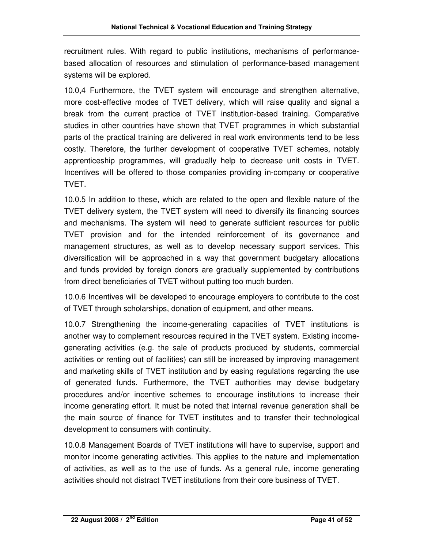recruitment rules. With regard to public institutions, mechanisms of performancebased allocation of resources and stimulation of performance-based management systems will be explored.

10.0,4 Furthermore, the TVET system will encourage and strengthen alternative, more cost-effective modes of TVET delivery, which will raise quality and signal a break from the current practice of TVET institution-based training. Comparative studies in other countries have shown that TVET programmes in which substantial parts of the practical training are delivered in real work environments tend to be less costly. Therefore, the further development of cooperative TVET schemes, notably apprenticeship programmes, will gradually help to decrease unit costs in TVET. Incentives will be offered to those companies providing in-company or cooperative TVET.

10.0.5 In addition to these, which are related to the open and flexible nature of the TVET delivery system, the TVET system will need to diversify its financing sources and mechanisms. The system will need to generate sufficient resources for public TVET provision and for the intended reinforcement of its governance and management structures, as well as to develop necessary support services. This diversification will be approached in a way that government budgetary allocations and funds provided by foreign donors are gradually supplemented by contributions from direct beneficiaries of TVET without putting too much burden.

10.0.6 Incentives will be developed to encourage employers to contribute to the cost of TVET through scholarships, donation of equipment, and other means.

10.0.7 Strengthening the income-generating capacities of TVET institutions is another way to complement resources required in the TVET system. Existing incomegenerating activities (e.g. the sale of products produced by students, commercial activities or renting out of facilities) can still be increased by improving management and marketing skills of TVET institution and by easing regulations regarding the use of generated funds. Furthermore, the TVET authorities may devise budgetary procedures and/or incentive schemes to encourage institutions to increase their income generating effort. It must be noted that internal revenue generation shall be the main source of finance for TVET institutes and to transfer their technological development to consumers with continuity.

10.0.8 Management Boards of TVET institutions will have to supervise, support and monitor income generating activities. This applies to the nature and implementation of activities, as well as to the use of funds. As a general rule, income generating activities should not distract TVET institutions from their core business of TVET.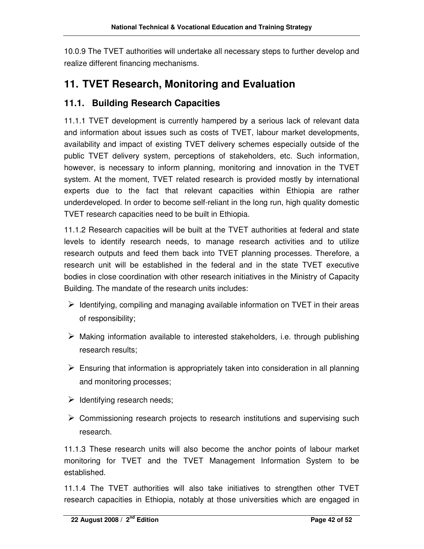10.0.9 The TVET authorities will undertake all necessary steps to further develop and realize different financing mechanisms.

## **11. TVET Research, Monitoring and Evaluation**

#### **11.1. Building Research Capacities**

11.1.1 TVET development is currently hampered by a serious lack of relevant data and information about issues such as costs of TVET, labour market developments, availability and impact of existing TVET delivery schemes especially outside of the public TVET delivery system, perceptions of stakeholders, etc. Such information, however, is necessary to inform planning, monitoring and innovation in the TVET system. At the moment, TVET related research is provided mostly by international experts due to the fact that relevant capacities within Ethiopia are rather underdeveloped. In order to become self-reliant in the long run, high quality domestic TVET research capacities need to be built in Ethiopia.

11.1.2 Research capacities will be built at the TVET authorities at federal and state levels to identify research needs, to manage research activities and to utilize research outputs and feed them back into TVET planning processes. Therefore, a research unit will be established in the federal and in the state TVET executive bodies in close coordination with other research initiatives in the Ministry of Capacity Building. The mandate of the research units includes:

- $\triangleright$  Identifying, compiling and managing available information on TVET in their areas of responsibility;
- $\triangleright$  Making information available to interested stakeholders, i.e. through publishing research results;
- $\triangleright$  Ensuring that information is appropriately taken into consideration in all planning and monitoring processes;
- $\triangleright$  Identifying research needs;
- $\triangleright$  Commissioning research projects to research institutions and supervising such research.

11.1.3 These research units will also become the anchor points of labour market monitoring for TVET and the TVET Management Information System to be established.

11.1.4 The TVET authorities will also take initiatives to strengthen other TVET research capacities in Ethiopia, notably at those universities which are engaged in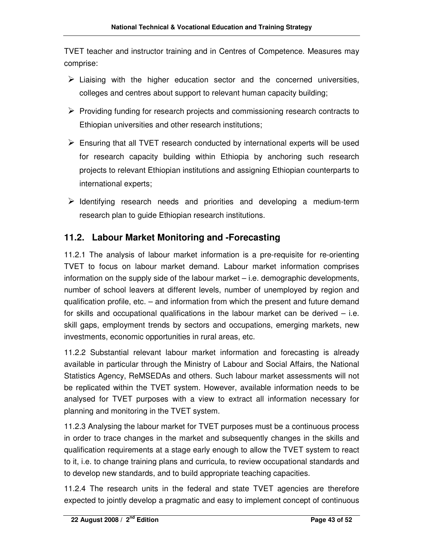TVET teacher and instructor training and in Centres of Competence. Measures may comprise:

- $\triangleright$  Liaising with the higher education sector and the concerned universities, colleges and centres about support to relevant human capacity building;
- $\triangleright$  Providing funding for research projects and commissioning research contracts to Ethiopian universities and other research institutions;
- $\triangleright$  Ensuring that all TVET research conducted by international experts will be used for research capacity building within Ethiopia by anchoring such research projects to relevant Ethiopian institutions and assigning Ethiopian counterparts to international experts;
- $\triangleright$  Identifying research needs and priorities and developing a medium-term research plan to guide Ethiopian research institutions.

### **11.2. Labour Market Monitoring and -Forecasting**

11.2.1 The analysis of labour market information is a pre-requisite for re-orienting TVET to focus on labour market demand. Labour market information comprises information on the supply side of the labour market – i.e. demographic developments, number of school leavers at different levels, number of unemployed by region and qualification profile, etc. – and information from which the present and future demand for skills and occupational qualifications in the labour market can be derived  $-$  i.e. skill gaps, employment trends by sectors and occupations, emerging markets, new investments, economic opportunities in rural areas, etc.

11.2.2 Substantial relevant labour market information and forecasting is already available in particular through the Ministry of Labour and Social Affairs, the National Statistics Agency, ReMSEDAs and others. Such labour market assessments will not be replicated within the TVET system. However, available information needs to be analysed for TVET purposes with a view to extract all information necessary for planning and monitoring in the TVET system.

11.2.3 Analysing the labour market for TVET purposes must be a continuous process in order to trace changes in the market and subsequently changes in the skills and qualification requirements at a stage early enough to allow the TVET system to react to it, i.e. to change training plans and curricula, to review occupational standards and to develop new standards, and to build appropriate teaching capacities.

11.2.4 The research units in the federal and state TVET agencies are therefore expected to jointly develop a pragmatic and easy to implement concept of continuous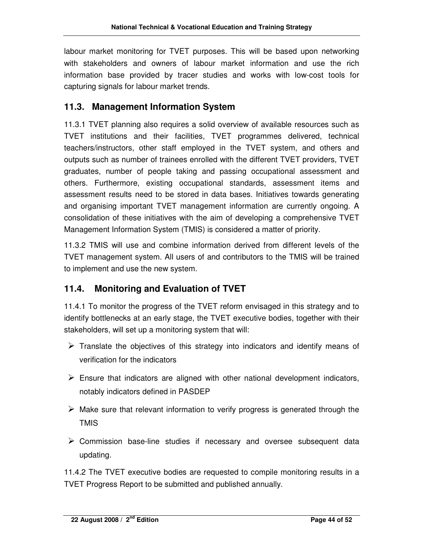labour market monitoring for TVET purposes. This will be based upon networking with stakeholders and owners of labour market information and use the rich information base provided by tracer studies and works with low-cost tools for capturing signals for labour market trends.

#### **11.3. Management Information System**

11.3.1 TVET planning also requires a solid overview of available resources such as TVET institutions and their facilities, TVET programmes delivered, technical teachers/instructors, other staff employed in the TVET system, and others and outputs such as number of trainees enrolled with the different TVET providers, TVET graduates, number of people taking and passing occupational assessment and others. Furthermore, existing occupational standards, assessment items and assessment results need to be stored in data bases. Initiatives towards generating and organising important TVET management information are currently ongoing. A consolidation of these initiatives with the aim of developing a comprehensive TVET Management Information System (TMIS) is considered a matter of priority.

11.3.2 TMIS will use and combine information derived from different levels of the TVET management system. All users of and contributors to the TMIS will be trained to implement and use the new system.

### **11.4. Monitoring and Evaluation of TVET**

11.4.1 To monitor the progress of the TVET reform envisaged in this strategy and to identify bottlenecks at an early stage, the TVET executive bodies, together with their stakeholders, will set up a monitoring system that will:

- $\triangleright$  Translate the objectives of this strategy into indicators and identify means of verification for the indicators
- $\triangleright$  Ensure that indicators are aligned with other national development indicators, notably indicators defined in PASDEP
- $\triangleright$  Make sure that relevant information to verify progress is generated through the TMIS
- $\triangleright$  Commission base-line studies if necessary and oversee subsequent data updating.

11.4.2 The TVET executive bodies are requested to compile monitoring results in a TVET Progress Report to be submitted and published annually.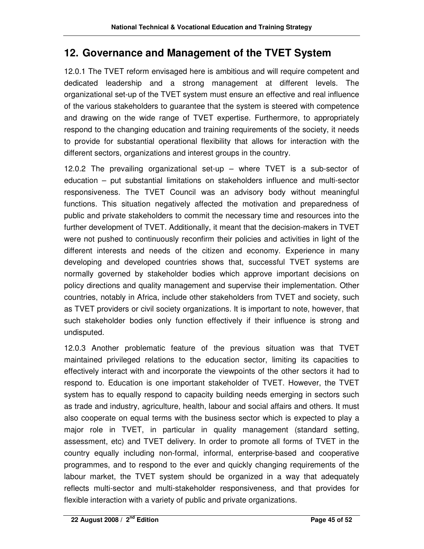## **12. Governance and Management of the TVET System**

12.0.1 The TVET reform envisaged here is ambitious and will require competent and dedicated leadership and a strong management at different levels. The organizational set-up of the TVET system must ensure an effective and real influence of the various stakeholders to guarantee that the system is steered with competence and drawing on the wide range of TVET expertise. Furthermore, to appropriately respond to the changing education and training requirements of the society, it needs to provide for substantial operational flexibility that allows for interaction with the different sectors, organizations and interest groups in the country.

12.0.2 The prevailing organizational set-up – where TVET is a sub-sector of education – put substantial limitations on stakeholders influence and multi-sector responsiveness. The TVET Council was an advisory body without meaningful functions. This situation negatively affected the motivation and preparedness of public and private stakeholders to commit the necessary time and resources into the further development of TVET. Additionally, it meant that the decision-makers in TVET were not pushed to continuously reconfirm their policies and activities in light of the different interests and needs of the citizen and economy. Experience in many developing and developed countries shows that, successful TVET systems are normally governed by stakeholder bodies which approve important decisions on policy directions and quality management and supervise their implementation. Other countries, notably in Africa, include other stakeholders from TVET and society, such as TVET providers or civil society organizations. It is important to note, however, that such stakeholder bodies only function effectively if their influence is strong and undisputed.

12.0.3 Another problematic feature of the previous situation was that TVET maintained privileged relations to the education sector, limiting its capacities to effectively interact with and incorporate the viewpoints of the other sectors it had to respond to. Education is one important stakeholder of TVET. However, the TVET system has to equally respond to capacity building needs emerging in sectors such as trade and industry, agriculture, health, labour and social affairs and others. It must also cooperate on equal terms with the business sector which is expected to play a major role in TVET, in particular in quality management (standard setting, assessment, etc) and TVET delivery. In order to promote all forms of TVET in the country equally including non-formal, informal, enterprise-based and cooperative programmes, and to respond to the ever and quickly changing requirements of the labour market, the TVET system should be organized in a way that adequately reflects multi-sector and multi-stakeholder responsiveness, and that provides for flexible interaction with a variety of public and private organizations.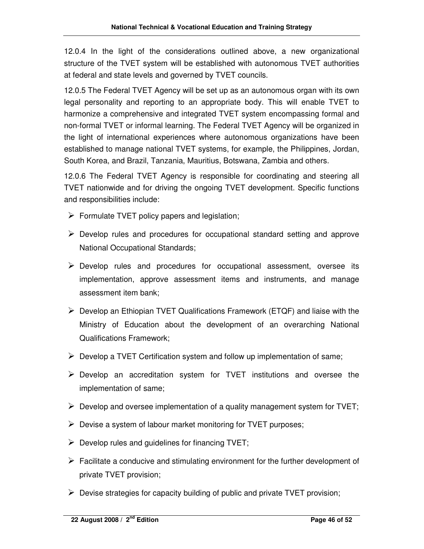12.0.4 In the light of the considerations outlined above, a new organizational structure of the TVET system will be established with autonomous TVET authorities at federal and state levels and governed by TVET councils.

12.0.5 The Federal TVET Agency will be set up as an autonomous organ with its own legal personality and reporting to an appropriate body. This will enable TVET to harmonize a comprehensive and integrated TVET system encompassing formal and non-formal TVET or informal learning. The Federal TVET Agency will be organized in the light of international experiences where autonomous organizations have been established to manage national TVET systems, for example, the Philippines, Jordan, South Korea, and Brazil, Tanzania, Mauritius, Botswana, Zambia and others.

12.0.6 The Federal TVET Agency is responsible for coordinating and steering all TVET nationwide and for driving the ongoing TVET development. Specific functions and responsibilities include:

- $\triangleright$  Formulate TVET policy papers and legislation;
- $\triangleright$  Develop rules and procedures for occupational standard setting and approve National Occupational Standards;
- $\triangleright$  Develop rules and procedures for occupational assessment, oversee its implementation, approve assessment items and instruments, and manage assessment item bank;
- $\triangleright$  Develop an Ethiopian TVET Qualifications Framework (ETQF) and liaise with the Ministry of Education about the development of an overarching National Qualifications Framework;
- $\triangleright$  Develop a TVET Certification system and follow up implementation of same;
- $\triangleright$  Develop an accreditation system for TVET institutions and oversee the implementation of same;
- $\triangleright$  Develop and oversee implementation of a quality management system for TVET;
- $\triangleright$  Devise a system of labour market monitoring for TVET purposes;
- $\triangleright$  Develop rules and quidelines for financing TVET;
- $\triangleright$  Facilitate a conducive and stimulating environment for the further development of private TVET provision;
- $\triangleright$  Devise strategies for capacity building of public and private TVET provision;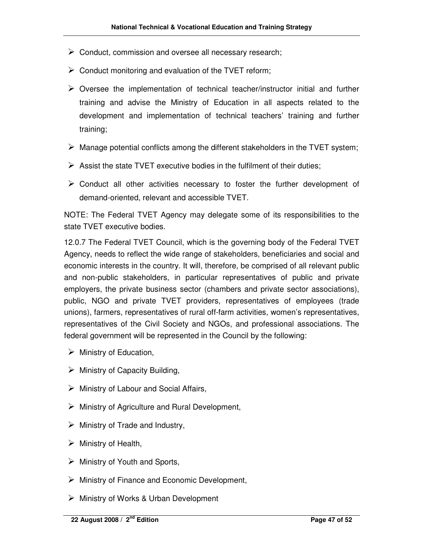- $\triangleright$  Conduct, commission and oversee all necessary research;
- $\triangleright$  Conduct monitoring and evaluation of the TVET reform;
- $\triangleright$  Oversee the implementation of technical teacher/instructor initial and further training and advise the Ministry of Education in all aspects related to the development and implementation of technical teachers' training and further training;
- $\triangleright$  Manage potential conflicts among the different stakeholders in the TVET system;
- $\triangleright$  Assist the state TVET executive bodies in the fulfilment of their duties;
- $\triangleright$  Conduct all other activities necessary to foster the further development of demand-oriented, relevant and accessible TVET.

NOTE: The Federal TVET Agency may delegate some of its responsibilities to the state TVET executive bodies.

12.0.7 The Federal TVET Council, which is the governing body of the Federal TVET Agency, needs to reflect the wide range of stakeholders, beneficiaries and social and economic interests in the country. It will, therefore, be comprised of all relevant public and non-public stakeholders, in particular representatives of public and private employers, the private business sector (chambers and private sector associations), public, NGO and private TVET providers, representatives of employees (trade unions), farmers, representatives of rural off-farm activities, women's representatives, representatives of the Civil Society and NGOs, and professional associations. The federal government will be represented in the Council by the following:

- $\triangleright$  Ministry of Education,
- $\triangleright$  Ministry of Capacity Building,
- $\triangleright$  Ministry of Labour and Social Affairs,
- $\triangleright$  Ministry of Agriculture and Rural Development,
- $\triangleright$  Ministry of Trade and Industry,
- $\triangleright$  Ministry of Health,
- $\triangleright$  Ministry of Youth and Sports,
- $\triangleright$  Ministry of Finance and Economic Development,
- Ministry of Works & Urban Development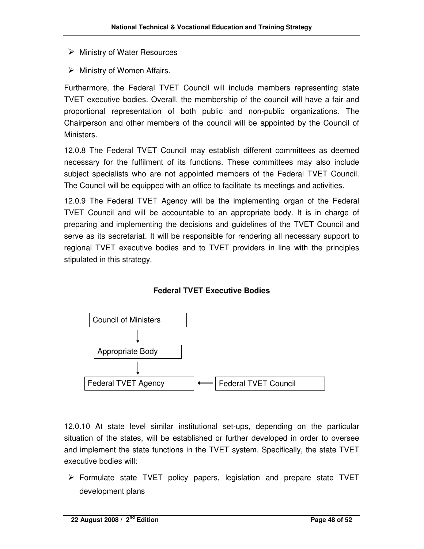- $\triangleright$  Ministry of Water Resources
- $\triangleright$  Ministry of Women Affairs.

Furthermore, the Federal TVET Council will include members representing state TVET executive bodies. Overall, the membership of the council will have a fair and proportional representation of both public and non-public organizations. The Chairperson and other members of the council will be appointed by the Council of **Ministers.** 

12.0.8 The Federal TVET Council may establish different committees as deemed necessary for the fulfilment of its functions. These committees may also include subject specialists who are not appointed members of the Federal TVET Council. The Council will be equipped with an office to facilitate its meetings and activities.

12.0.9 The Federal TVET Agency will be the implementing organ of the Federal TVET Council and will be accountable to an appropriate body. It is in charge of preparing and implementing the decisions and guidelines of the TVET Council and serve as its secretariat. It will be responsible for rendering all necessary support to regional TVET executive bodies and to TVET providers in line with the principles stipulated in this strategy.

#### **Federal TVET Executive Bodies**



12.0.10 At state level similar institutional set-ups, depending on the particular situation of the states, will be established or further developed in order to oversee and implement the state functions in the TVET system. Specifically, the state TVET executive bodies will:

 $\triangleright$  Formulate state TVET policy papers, legislation and prepare state TVET development plans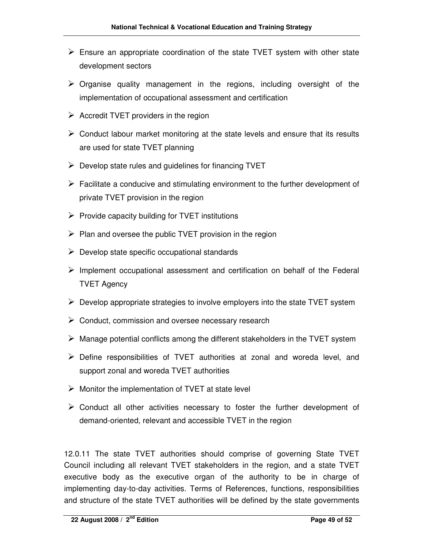- $\triangleright$  Ensure an appropriate coordination of the state TVET system with other state development sectors
- $\triangleright$  Organise quality management in the regions, including oversight of the implementation of occupational assessment and certification
- $\triangleright$  Accredit TVET providers in the region
- $\triangleright$  Conduct labour market monitoring at the state levels and ensure that its results are used for state TVET planning
- $\triangleright$  Develop state rules and quidelines for financing TVET
- $\triangleright$  Facilitate a conducive and stimulating environment to the further development of private TVET provision in the region
- $\triangleright$  Provide capacity building for TVET institutions
- $\triangleright$  Plan and oversee the public TVET provision in the region
- $\triangleright$  Develop state specific occupational standards
- $\triangleright$  Implement occupational assessment and certification on behalf of the Federal TVET Agency
- $\triangleright$  Develop appropriate strategies to involve employers into the state TVET system
- $\triangleright$  Conduct, commission and oversee necessary research
- $\triangleright$  Manage potential conflicts among the different stakeholders in the TVET system
- Define responsibilities of TVET authorities at zonal and woreda level, and support zonal and woreda TVET authorities
- $\triangleright$  Monitor the implementation of TVET at state level
- $\triangleright$  Conduct all other activities necessary to foster the further development of demand-oriented, relevant and accessible TVET in the region

12.0.11 The state TVET authorities should comprise of governing State TVET Council including all relevant TVET stakeholders in the region, and a state TVET executive body as the executive organ of the authority to be in charge of implementing day-to-day activities. Terms of References, functions, responsibilities and structure of the state TVET authorities will be defined by the state governments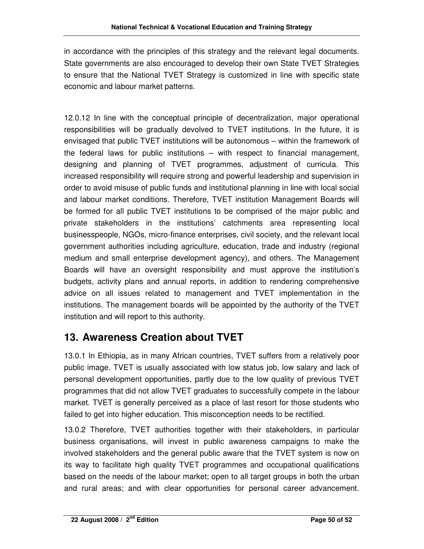in accordance with the principles of this strategy and the relevant legal documents. State governments are also encouraged to develop their own State TVET Strategies to ensure that the National TVET Strategy is customized in line with specific state economic and labour market patterns.

12.0.12 In line with the conceptual principle of decentralization, major operational responsibilities will be gradually devolved to TVET institutions. In the future, it is envisaged that public TVET institutions will be autonomous – within the framework of the federal laws for public institutions – with respect to financial management, designing and planning of TVET programmes, adjustment of curricula. This increased responsibility will require strong and powerful leadership and supervision in order to avoid misuse of public funds and institutional planning in line with local social and labour market conditions. Therefore, TVET institution Management Boards will be formed for all public TVET institutions to be comprised of the major public and private stakeholders in the institutions' catchments area representing local businesspeople, NGOs, micro-finance enterprises, civil society, and the relevant local government authorities including agriculture, education, trade and industry (regional medium and small enterprise development agency), and others. The Management Boards will have an oversight responsibility and must approve the institution's budgets, activity plans and annual reports, in addition to rendering comprehensive advice on all issues related to management and TVET implementation in the institutions. The management boards will be appointed by the authority of the TVET institution and will report to this authority.

### **13. Awareness Creation about TVET**

13.0.1 In Ethiopia, as in many African countries, TVET suffers from a relatively poor public image. TVET is usually associated with low status job, low salary and lack of personal development opportunities, partly due to the low quality of previous TVET programmes that did not allow TVET graduates to successfully compete in the labour market. TVET is generally perceived as a place of last resort for those students who failed to get into higher education. This misconception needs to be rectified.

13.0.2 Therefore, TVET authorities together with their stakeholders, in particular business organisations, will invest in public awareness campaigns to make the involved stakeholders and the general public aware that the TVET system is now on its way to facilitate high quality TVET programmes and occupational qualifications based on the needs of the labour market; open to all target groups in both the urban and rural areas; and with clear opportunities for personal career advancement.